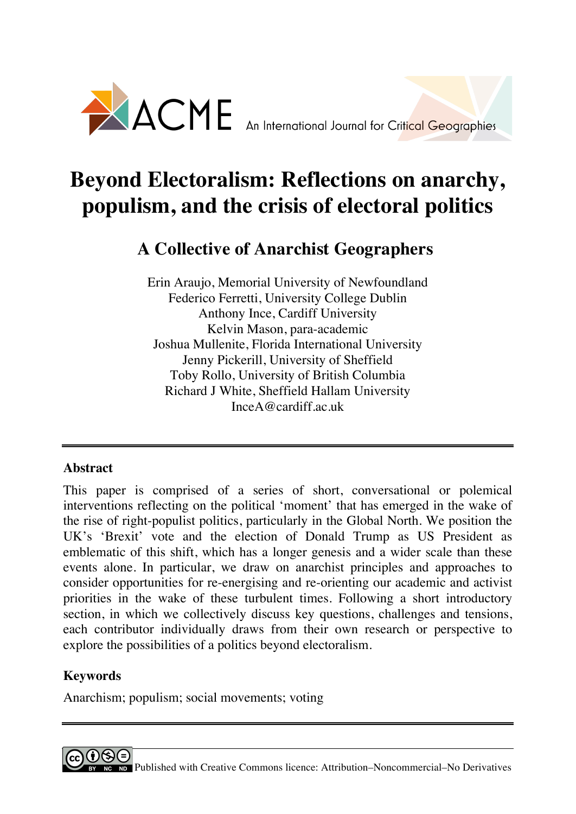

# **Beyond Electoralism: Reflections on anarchy, populism, and the crisis of electoral politics**

# **A Collective of Anarchist Geographers**

Erin Araujo, Memorial University of Newfoundland Federico Ferretti, University College Dublin Anthony Ince, Cardiff University Kelvin Mason, para-academic Joshua Mullenite, Florida International University Jenny Pickerill, University of Sheffield Toby Rollo, University of British Columbia Richard J White, Sheffield Hallam University InceA@cardiff.ac.uk

# **Abstract**

This paper is comprised of a series of short, conversational or polemical interventions reflecting on the political 'moment' that has emerged in the wake of the rise of right-populist politics, particularly in the Global North. We position the UK's 'Brexit' vote and the election of Donald Trump as US President as emblematic of this shift, which has a longer genesis and a wider scale than these events alone. In particular, we draw on anarchist principles and approaches to consider opportunities for re-energising and re-orienting our academic and activist priorities in the wake of these turbulent times. Following a short introductory section, in which we collectively discuss key questions, challenges and tensions, each contributor individually draws from their own research or perspective to explore the possibilities of a politics beyond electoralism.

# **Keywords**

Anarchism; populism; social movements; voting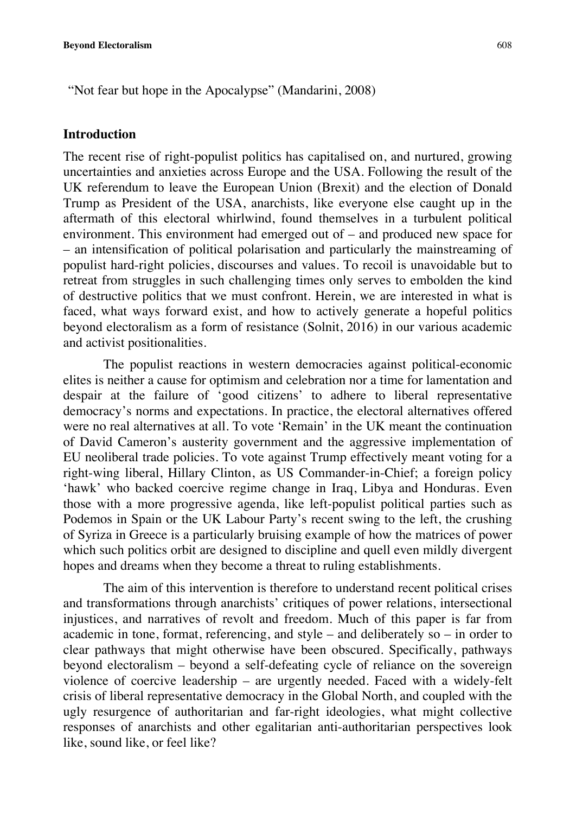"Not fear but hope in the Apocalypse" (Mandarini, 2008)

#### **Introduction**

The recent rise of right-populist politics has capitalised on, and nurtured, growing uncertainties and anxieties across Europe and the USA. Following the result of the UK referendum to leave the European Union (Brexit) and the election of Donald Trump as President of the USA, anarchists, like everyone else caught up in the aftermath of this electoral whirlwind, found themselves in a turbulent political environment. This environment had emerged out of – and produced new space for – an intensification of political polarisation and particularly the mainstreaming of populist hard-right policies, discourses and values. To recoil is unavoidable but to retreat from struggles in such challenging times only serves to embolden the kind of destructive politics that we must confront. Herein, we are interested in what is faced, what ways forward exist, and how to actively generate a hopeful politics beyond electoralism as a form of resistance (Solnit, 2016) in our various academic and activist positionalities.

The populist reactions in western democracies against political-economic elites is neither a cause for optimism and celebration nor a time for lamentation and despair at the failure of 'good citizens' to adhere to liberal representative democracy's norms and expectations. In practice, the electoral alternatives offered were no real alternatives at all. To vote 'Remain' in the UK meant the continuation of David Cameron's austerity government and the aggressive implementation of EU neoliberal trade policies. To vote against Trump effectively meant voting for a right-wing liberal, Hillary Clinton, as US Commander-in-Chief; a foreign policy 'hawk' who backed coercive regime change in Iraq, Libya and Honduras. Even those with a more progressive agenda, like left-populist political parties such as Podemos in Spain or the UK Labour Party's recent swing to the left, the crushing of Syriza in Greece is a particularly bruising example of how the matrices of power which such politics orbit are designed to discipline and quell even mildly divergent hopes and dreams when they become a threat to ruling establishments.

The aim of this intervention is therefore to understand recent political crises and transformations through anarchists' critiques of power relations, intersectional injustices, and narratives of revolt and freedom. Much of this paper is far from academic in tone, format, referencing, and style – and deliberately so – in order to clear pathways that might otherwise have been obscured. Specifically, pathways beyond electoralism – beyond a self-defeating cycle of reliance on the sovereign violence of coercive leadership – are urgently needed. Faced with a widely-felt crisis of liberal representative democracy in the Global North, and coupled with the ugly resurgence of authoritarian and far-right ideologies, what might collective responses of anarchists and other egalitarian anti-authoritarian perspectives look like, sound like, or feel like?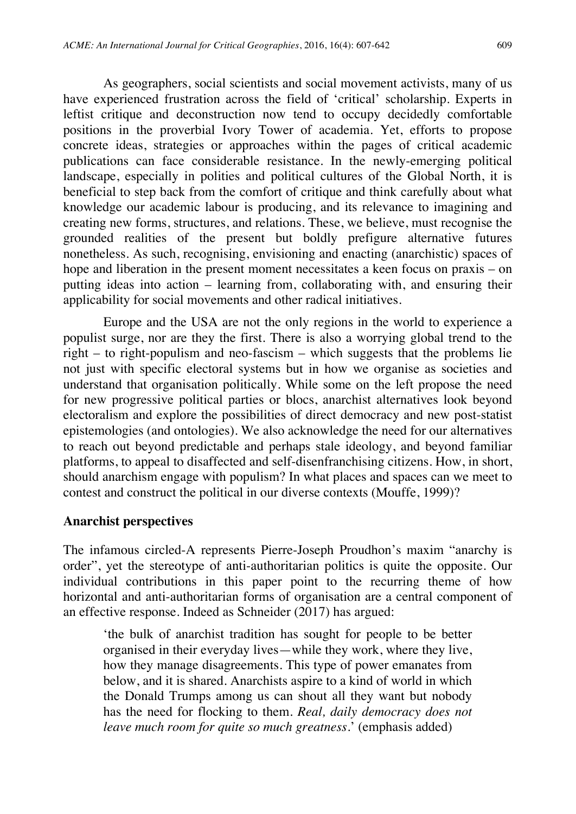As geographers, social scientists and social movement activists, many of us have experienced frustration across the field of 'critical' scholarship. Experts in leftist critique and deconstruction now tend to occupy decidedly comfortable positions in the proverbial Ivory Tower of academia. Yet, efforts to propose concrete ideas, strategies or approaches within the pages of critical academic publications can face considerable resistance. In the newly-emerging political landscape, especially in polities and political cultures of the Global North, it is beneficial to step back from the comfort of critique and think carefully about what knowledge our academic labour is producing, and its relevance to imagining and creating new forms, structures, and relations. These, we believe, must recognise the grounded realities of the present but boldly prefigure alternative futures nonetheless. As such, recognising, envisioning and enacting (anarchistic) spaces of hope and liberation in the present moment necessitates a keen focus on praxis – on putting ideas into action – learning from, collaborating with, and ensuring their applicability for social movements and other radical initiatives.

Europe and the USA are not the only regions in the world to experience a populist surge, nor are they the first. There is also a worrying global trend to the right – to right-populism and neo-fascism – which suggests that the problems lie not just with specific electoral systems but in how we organise as societies and understand that organisation politically. While some on the left propose the need for new progressive political parties or blocs, anarchist alternatives look beyond electoralism and explore the possibilities of direct democracy and new post-statist epistemologies (and ontologies). We also acknowledge the need for our alternatives to reach out beyond predictable and perhaps stale ideology, and beyond familiar platforms, to appeal to disaffected and self-disenfranchising citizens. How, in short, should anarchism engage with populism? In what places and spaces can we meet to contest and construct the political in our diverse contexts (Mouffe, 1999)?

#### **Anarchist perspectives**

The infamous circled-A represents Pierre-Joseph Proudhon's maxim "anarchy is order", yet the stereotype of anti-authoritarian politics is quite the opposite. Our individual contributions in this paper point to the recurring theme of how horizontal and anti-authoritarian forms of organisation are a central component of an effective response. Indeed as Schneider (2017) has argued:

'the bulk of anarchist tradition has sought for people to be better organised in their everyday lives—while they work, where they live, how they manage disagreements. This type of power emanates from below, and it is shared. Anarchists aspire to a kind of world in which the Donald Trumps among us can shout all they want but nobody has the need for flocking to them. *Real, daily democracy does not leave much room for quite so much greatness*.' (emphasis added)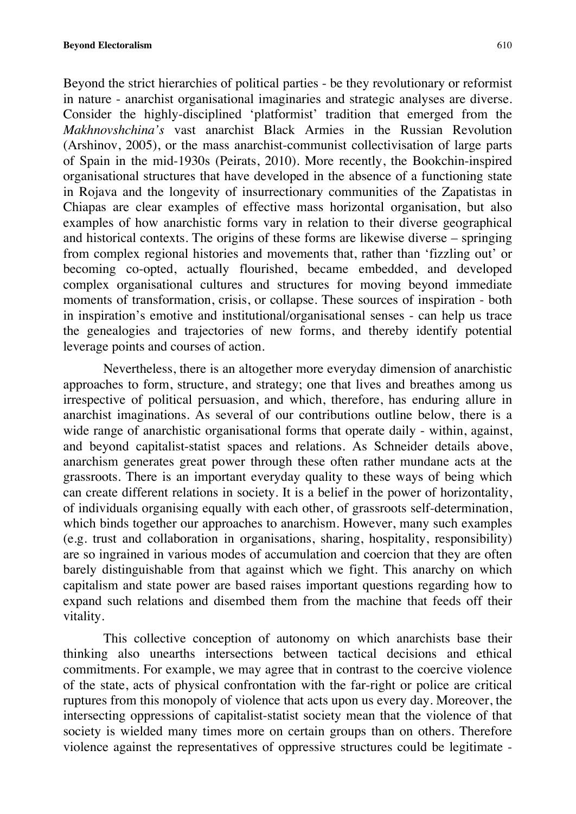Beyond the strict hierarchies of political parties - be they revolutionary or reformist in nature - anarchist organisational imaginaries and strategic analyses are diverse. Consider the highly-disciplined 'platformist' tradition that emerged from the *Makhnovshchina's* vast anarchist Black Armies in the Russian Revolution (Arshinov, 2005), or the mass anarchist-communist collectivisation of large parts of Spain in the mid-1930s (Peirats, 2010). More recently, the Bookchin-inspired organisational structures that have developed in the absence of a functioning state in Rojava and the longevity of insurrectionary communities of the Zapatistas in Chiapas are clear examples of effective mass horizontal organisation, but also examples of how anarchistic forms vary in relation to their diverse geographical and historical contexts. The origins of these forms are likewise diverse – springing from complex regional histories and movements that, rather than 'fizzling out' or becoming co-opted, actually flourished, became embedded, and developed complex organisational cultures and structures for moving beyond immediate moments of transformation, crisis, or collapse. These sources of inspiration - both in inspiration's emotive and institutional/organisational senses - can help us trace the genealogies and trajectories of new forms, and thereby identify potential leverage points and courses of action.

Nevertheless, there is an altogether more everyday dimension of anarchistic approaches to form, structure, and strategy; one that lives and breathes among us irrespective of political persuasion, and which, therefore, has enduring allure in anarchist imaginations. As several of our contributions outline below, there is a wide range of anarchistic organisational forms that operate daily - within, against, and beyond capitalist-statist spaces and relations. As Schneider details above, anarchism generates great power through these often rather mundane acts at the grassroots. There is an important everyday quality to these ways of being which can create different relations in society. It is a belief in the power of horizontality, of individuals organising equally with each other, of grassroots self-determination, which binds together our approaches to anarchism. However, many such examples (e.g. trust and collaboration in organisations, sharing, hospitality, responsibility) are so ingrained in various modes of accumulation and coercion that they are often barely distinguishable from that against which we fight. This anarchy on which capitalism and state power are based raises important questions regarding how to expand such relations and disembed them from the machine that feeds off their vitality.

This collective conception of autonomy on which anarchists base their thinking also unearths intersections between tactical decisions and ethical commitments. For example, we may agree that in contrast to the coercive violence of the state, acts of physical confrontation with the far-right or police are critical ruptures from this monopoly of violence that acts upon us every day. Moreover, the intersecting oppressions of capitalist-statist society mean that the violence of that society is wielded many times more on certain groups than on others. Therefore violence against the representatives of oppressive structures could be legitimate -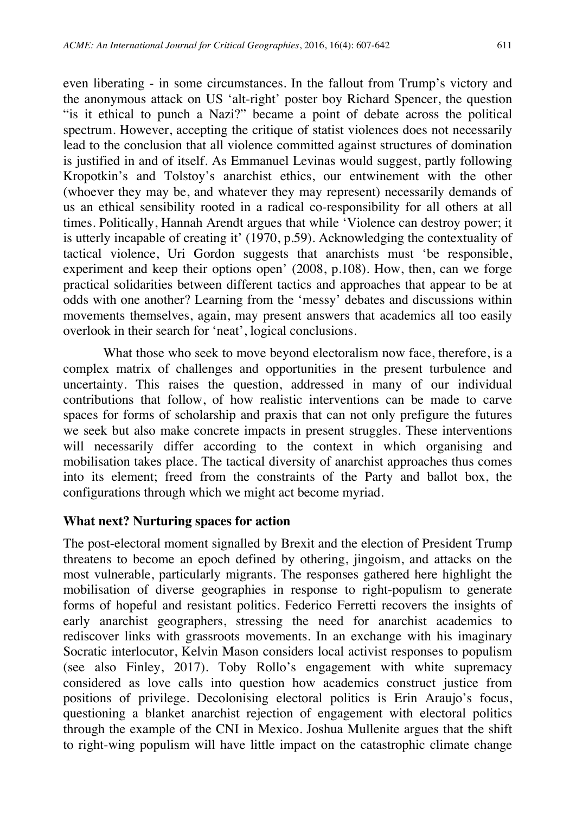even liberating - in some circumstances. In the fallout from Trump's victory and the anonymous attack on US 'alt-right' poster boy Richard Spencer, the question "is it ethical to punch a Nazi?" became a point of debate across the political spectrum. However, accepting the critique of statist violences does not necessarily lead to the conclusion that all violence committed against structures of domination is justified in and of itself. As Emmanuel Levinas would suggest, partly following Kropotkin's and Tolstoy's anarchist ethics, our entwinement with the other (whoever they may be, and whatever they may represent) necessarily demands of us an ethical sensibility rooted in a radical co-responsibility for all others at all times. Politically, Hannah Arendt argues that while 'Violence can destroy power; it is utterly incapable of creating it' (1970, p.59). Acknowledging the contextuality of tactical violence, Uri Gordon suggests that anarchists must 'be responsible, experiment and keep their options open' (2008, p.108). How, then, can we forge practical solidarities between different tactics and approaches that appear to be at odds with one another? Learning from the 'messy' debates and discussions within movements themselves, again, may present answers that academics all too easily overlook in their search for 'neat', logical conclusions.

What those who seek to move beyond electoralism now face, therefore, is a complex matrix of challenges and opportunities in the present turbulence and uncertainty. This raises the question, addressed in many of our individual contributions that follow, of how realistic interventions can be made to carve spaces for forms of scholarship and praxis that can not only prefigure the futures we seek but also make concrete impacts in present struggles. These interventions will necessarily differ according to the context in which organising and mobilisation takes place. The tactical diversity of anarchist approaches thus comes into its element; freed from the constraints of the Party and ballot box, the configurations through which we might act become myriad.

#### **What next? Nurturing spaces for action**

The post-electoral moment signalled by Brexit and the election of President Trump threatens to become an epoch defined by othering, jingoism, and attacks on the most vulnerable, particularly migrants. The responses gathered here highlight the mobilisation of diverse geographies in response to right-populism to generate forms of hopeful and resistant politics. Federico Ferretti recovers the insights of early anarchist geographers, stressing the need for anarchist academics to rediscover links with grassroots movements. In an exchange with his imaginary Socratic interlocutor, Kelvin Mason considers local activist responses to populism (see also Finley, 2017). Toby Rollo's engagement with white supremacy considered as love calls into question how academics construct justice from positions of privilege. Decolonising electoral politics is Erin Araujo's focus, questioning a blanket anarchist rejection of engagement with electoral politics through the example of the CNI in Mexico. Joshua Mullenite argues that the shift to right-wing populism will have little impact on the catastrophic climate change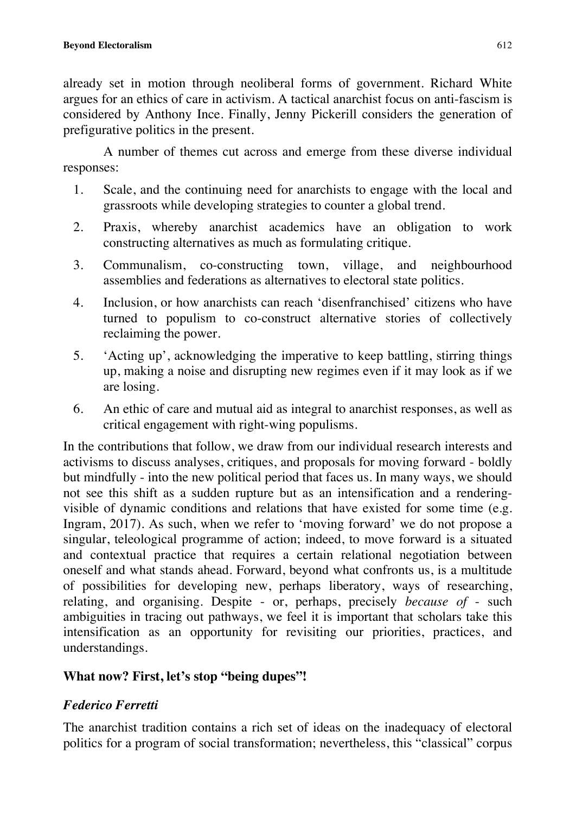already set in motion through neoliberal forms of government. Richard White argues for an ethics of care in activism. A tactical anarchist focus on anti-fascism is considered by Anthony Ince. Finally, Jenny Pickerill considers the generation of prefigurative politics in the present.

A number of themes cut across and emerge from these diverse individual responses:

- 1. Scale, and the continuing need for anarchists to engage with the local and grassroots while developing strategies to counter a global trend.
- 2. Praxis, whereby anarchist academics have an obligation to work constructing alternatives as much as formulating critique.
- 3. Communalism, co-constructing town, village, and neighbourhood assemblies and federations as alternatives to electoral state politics.
- 4. Inclusion, or how anarchists can reach 'disenfranchised' citizens who have turned to populism to co-construct alternative stories of collectively reclaiming the power.
- 5. 'Acting up', acknowledging the imperative to keep battling, stirring things up, making a noise and disrupting new regimes even if it may look as if we are losing.
- 6. An ethic of care and mutual aid as integral to anarchist responses, as well as critical engagement with right-wing populisms.

In the contributions that follow, we draw from our individual research interests and activisms to discuss analyses, critiques, and proposals for moving forward - boldly but mindfully - into the new political period that faces us. In many ways, we should not see this shift as a sudden rupture but as an intensification and a renderingvisible of dynamic conditions and relations that have existed for some time (e.g. Ingram, 2017). As such, when we refer to 'moving forward' we do not propose a singular, teleological programme of action; indeed, to move forward is a situated and contextual practice that requires a certain relational negotiation between oneself and what stands ahead. Forward, beyond what confronts us, is a multitude of possibilities for developing new, perhaps liberatory, ways of researching, relating, and organising. Despite - or, perhaps, precisely *because of* - such ambiguities in tracing out pathways, we feel it is important that scholars take this intensification as an opportunity for revisiting our priorities, practices, and understandings.

# **What now? First, let's stop "being dupes"!**

# *Federico Ferretti*

The anarchist tradition contains a rich set of ideas on the inadequacy of electoral politics for a program of social transformation; nevertheless, this "classical" corpus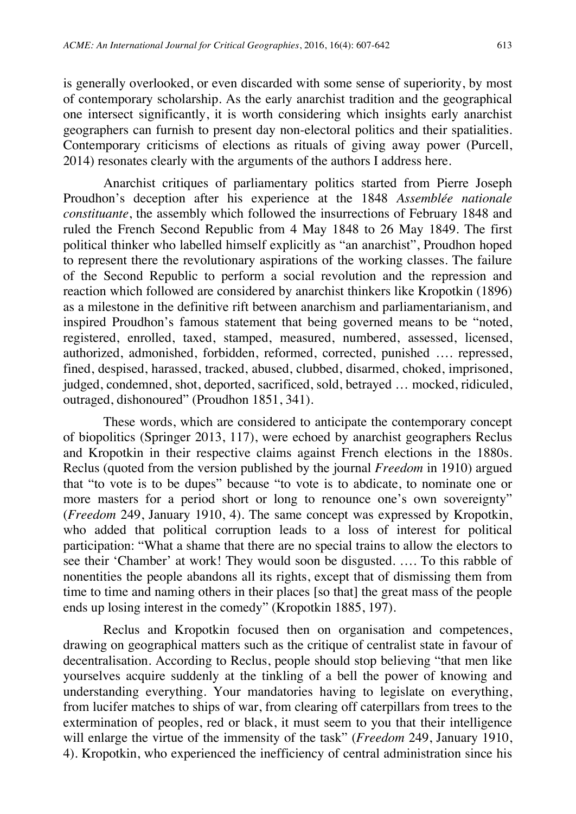is generally overlooked, or even discarded with some sense of superiority, by most of contemporary scholarship. As the early anarchist tradition and the geographical one intersect significantly, it is worth considering which insights early anarchist geographers can furnish to present day non-electoral politics and their spatialities. Contemporary criticisms of elections as rituals of giving away power (Purcell, 2014) resonates clearly with the arguments of the authors I address here.

Anarchist critiques of parliamentary politics started from Pierre Joseph Proudhon's deception after his experience at the 1848 *Assemblée nationale constituante*, the assembly which followed the insurrections of February 1848 and ruled the French Second Republic from 4 May 1848 to 26 May 1849. The first political thinker who labelled himself explicitly as "an anarchist", Proudhon hoped to represent there the revolutionary aspirations of the working classes. The failure of the Second Republic to perform a social revolution and the repression and reaction which followed are considered by anarchist thinkers like Kropotkin (1896) as a milestone in the definitive rift between anarchism and parliamentarianism, and inspired Proudhon's famous statement that being governed means to be "noted, registered, enrolled, taxed, stamped, measured, numbered, assessed, licensed, authorized, admonished, forbidden, reformed, corrected, punished …. repressed, fined, despised, harassed, tracked, abused, clubbed, disarmed, choked, imprisoned, judged, condemned, shot, deported, sacrificed, sold, betrayed … mocked, ridiculed, outraged, dishonoured" (Proudhon 1851, 341).

These words, which are considered to anticipate the contemporary concept of biopolitics (Springer 2013, 117), were echoed by anarchist geographers Reclus and Kropotkin in their respective claims against French elections in the 1880s. Reclus (quoted from the version published by the journal *Freedom* in 1910) argued that "to vote is to be dupes" because "to vote is to abdicate, to nominate one or more masters for a period short or long to renounce one's own sovereignty" (*Freedom* 249, January 1910, 4). The same concept was expressed by Kropotkin, who added that political corruption leads to a loss of interest for political participation: "What a shame that there are no special trains to allow the electors to see their 'Chamber' at work! They would soon be disgusted. …. To this rabble of nonentities the people abandons all its rights, except that of dismissing them from time to time and naming others in their places [so that] the great mass of the people ends up losing interest in the comedy" (Kropotkin 1885, 197).

Reclus and Kropotkin focused then on organisation and competences, drawing on geographical matters such as the critique of centralist state in favour of decentralisation. According to Reclus, people should stop believing "that men like yourselves acquire suddenly at the tinkling of a bell the power of knowing and understanding everything. Your mandatories having to legislate on everything, from lucifer matches to ships of war, from clearing off caterpillars from trees to the extermination of peoples, red or black, it must seem to you that their intelligence will enlarge the virtue of the immensity of the task" (*Freedom* 249, January 1910, 4). Kropotkin, who experienced the inefficiency of central administration since his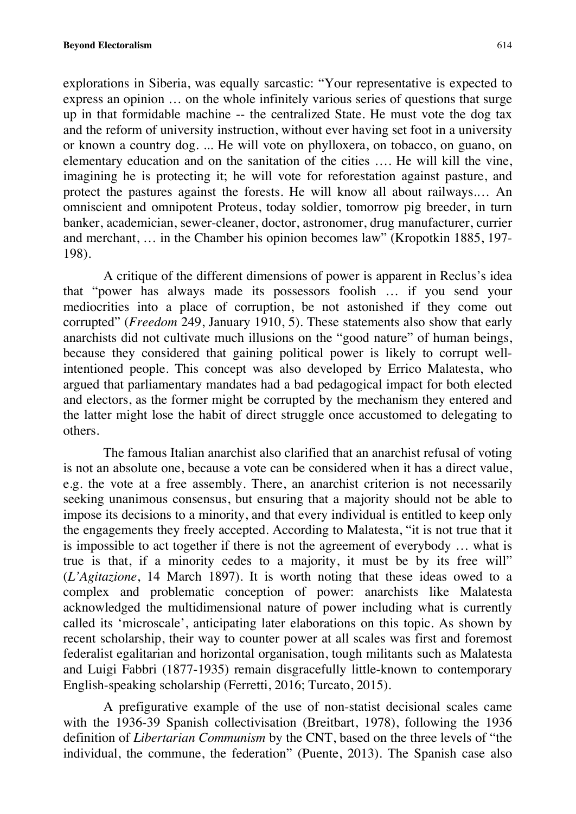explorations in Siberia, was equally sarcastic: "Your representative is expected to express an opinion … on the whole infinitely various series of questions that surge up in that formidable machine -- the centralized State. He must vote the dog tax and the reform of university instruction, without ever having set foot in a university or known a country dog. ... He will vote on phylloxera, on tobacco, on guano, on elementary education and on the sanitation of the cities …. He will kill the vine, imagining he is protecting it; he will vote for reforestation against pasture, and protect the pastures against the forests. He will know all about railways.… An omniscient and omnipotent Proteus, today soldier, tomorrow pig breeder, in turn banker, academician, sewer-cleaner, doctor, astronomer, drug manufacturer, currier and merchant, … in the Chamber his opinion becomes law" (Kropotkin 1885, 197- 198).

A critique of the different dimensions of power is apparent in Reclus's idea that "power has always made its possessors foolish … if you send your mediocrities into a place of corruption, be not astonished if they come out corrupted" (*Freedom* 249, January 1910, 5). These statements also show that early anarchists did not cultivate much illusions on the "good nature" of human beings, because they considered that gaining political power is likely to corrupt wellintentioned people. This concept was also developed by Errico Malatesta, who argued that parliamentary mandates had a bad pedagogical impact for both elected and electors, as the former might be corrupted by the mechanism they entered and the latter might lose the habit of direct struggle once accustomed to delegating to others.

The famous Italian anarchist also clarified that an anarchist refusal of voting is not an absolute one, because a vote can be considered when it has a direct value, e.g. the vote at a free assembly. There, an anarchist criterion is not necessarily seeking unanimous consensus, but ensuring that a majority should not be able to impose its decisions to a minority, and that every individual is entitled to keep only the engagements they freely accepted. According to Malatesta, "it is not true that it is impossible to act together if there is not the agreement of everybody … what is true is that, if a minority cedes to a majority, it must be by its free will" (*L'Agitazione*, 14 March 1897). It is worth noting that these ideas owed to a complex and problematic conception of power: anarchists like Malatesta acknowledged the multidimensional nature of power including what is currently called its 'microscale', anticipating later elaborations on this topic. As shown by recent scholarship, their way to counter power at all scales was first and foremost federalist egalitarian and horizontal organisation, tough militants such as Malatesta and Luigi Fabbri (1877-1935) remain disgracefully little-known to contemporary English-speaking scholarship (Ferretti, 2016; Turcato, 2015).

A prefigurative example of the use of non-statist decisional scales came with the 1936-39 Spanish collectivisation (Breitbart, 1978), following the 1936 definition of *Libertarian Communism* by the CNT, based on the three levels of "the individual, the commune, the federation" (Puente, 2013). The Spanish case also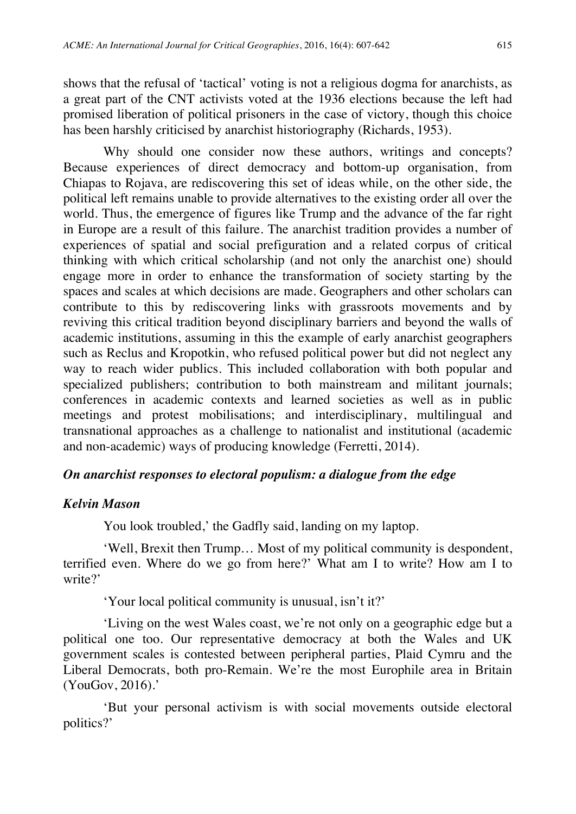shows that the refusal of 'tactical' voting is not a religious dogma for anarchists, as a great part of the CNT activists voted at the 1936 elections because the left had promised liberation of political prisoners in the case of victory, though this choice has been harshly criticised by anarchist historiography (Richards, 1953).

Why should one consider now these authors, writings and concepts? Because experiences of direct democracy and bottom-up organisation, from Chiapas to Rojava, are rediscovering this set of ideas while, on the other side, the political left remains unable to provide alternatives to the existing order all over the world. Thus, the emergence of figures like Trump and the advance of the far right in Europe are a result of this failure. The anarchist tradition provides a number of experiences of spatial and social prefiguration and a related corpus of critical thinking with which critical scholarship (and not only the anarchist one) should engage more in order to enhance the transformation of society starting by the spaces and scales at which decisions are made. Geographers and other scholars can contribute to this by rediscovering links with grassroots movements and by reviving this critical tradition beyond disciplinary barriers and beyond the walls of academic institutions, assuming in this the example of early anarchist geographers such as Reclus and Kropotkin, who refused political power but did not neglect any way to reach wider publics. This included collaboration with both popular and specialized publishers; contribution to both mainstream and militant journals; conferences in academic contexts and learned societies as well as in public meetings and protest mobilisations; and interdisciplinary, multilingual and transnational approaches as a challenge to nationalist and institutional (academic and non-academic) ways of producing knowledge (Ferretti, 2014).

# *On anarchist responses to electoral populism: a dialogue from the edge*

#### *Kelvin Mason*

You look troubled,' the Gadfly said, landing on my laptop.

'Well, Brexit then Trump… Most of my political community is despondent, terrified even. Where do we go from here?' What am I to write? How am I to write?'

'Your local political community is unusual, isn't it?'

'Living on the west Wales coast, we're not only on a geographic edge but a political one too. Our representative democracy at both the Wales and UK government scales is contested between peripheral parties, Plaid Cymru and the Liberal Democrats, both pro-Remain. We're the most Europhile area in Britain (YouGov, 2016).'

'But your personal activism is with social movements outside electoral politics?'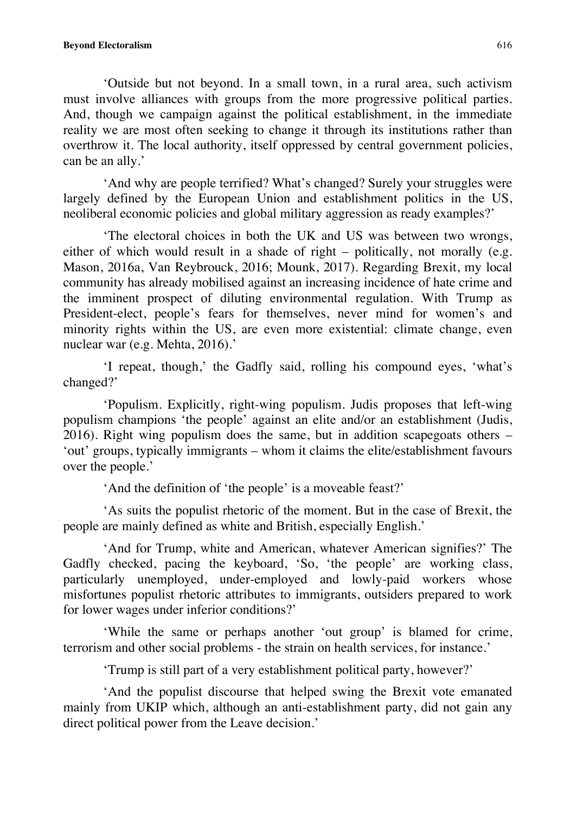'Outside but not beyond. In a small town, in a rural area, such activism must involve alliances with groups from the more progressive political parties. And, though we campaign against the political establishment, in the immediate reality we are most often seeking to change it through its institutions rather than overthrow it. The local authority, itself oppressed by central government policies, can be an ally.'

'And why are people terrified? What's changed? Surely your struggles were largely defined by the European Union and establishment politics in the US, neoliberal economic policies and global military aggression as ready examples?'

'The electoral choices in both the UK and US was between two wrongs, either of which would result in a shade of right – politically, not morally (e.g. Mason, 2016a, Van Reybrouck, 2016; Mounk, 2017). Regarding Brexit, my local community has already mobilised against an increasing incidence of hate crime and the imminent prospect of diluting environmental regulation. With Trump as President-elect, people's fears for themselves, never mind for women's and minority rights within the US, are even more existential: climate change, even nuclear war (e.g. Mehta, 2016).'

'I repeat, though,' the Gadfly said, rolling his compound eyes, 'what's changed?'

'Populism. Explicitly, right-wing populism. Judis proposes that left-wing populism champions 'the people' against an elite and/or an establishment (Judis, 2016). Right wing populism does the same, but in addition scapegoats others – 'out' groups, typically immigrants – whom it claims the elite/establishment favours over the people.'

'And the definition of 'the people' is a moveable feast?'

'As suits the populist rhetoric of the moment. But in the case of Brexit, the people are mainly defined as white and British, especially English.'

'And for Trump, white and American, whatever American signifies?' The Gadfly checked, pacing the keyboard, 'So, 'the people' are working class, particularly unemployed, under-employed and lowly-paid workers whose misfortunes populist rhetoric attributes to immigrants, outsiders prepared to work for lower wages under inferior conditions?'

'While the same or perhaps another 'out group' is blamed for crime, terrorism and other social problems - the strain on health services, for instance.'

'Trump is still part of a very establishment political party, however?'

'And the populist discourse that helped swing the Brexit vote emanated mainly from UKIP which, although an anti-establishment party, did not gain any direct political power from the Leave decision.'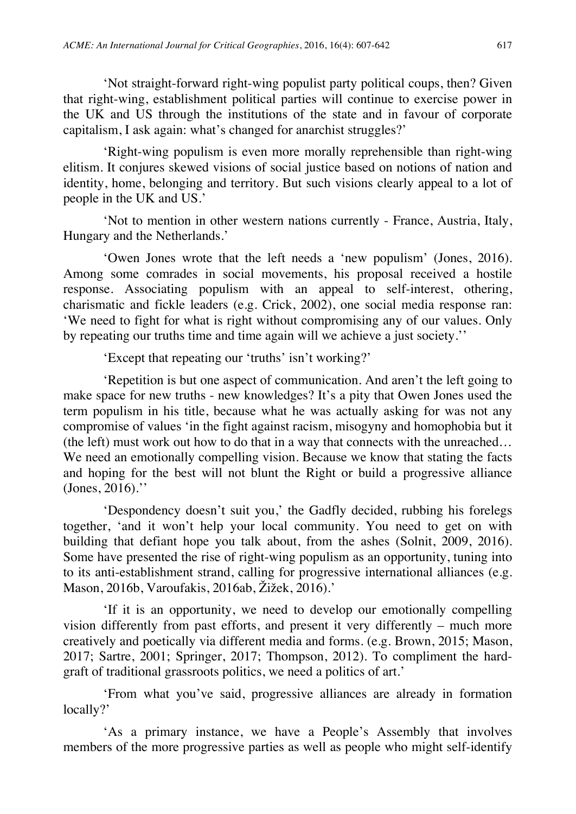'Not straight-forward right-wing populist party political coups, then? Given that right-wing, establishment political parties will continue to exercise power in the UK and US through the institutions of the state and in favour of corporate capitalism, I ask again: what's changed for anarchist struggles?'

'Right-wing populism is even more morally reprehensible than right-wing elitism. It conjures skewed visions of social justice based on notions of nation and identity, home, belonging and territory. But such visions clearly appeal to a lot of people in the UK and US.'

'Not to mention in other western nations currently - France, Austria, Italy, Hungary and the Netherlands.'

'Owen Jones wrote that the left needs a 'new populism' (Jones, 2016). Among some comrades in social movements, his proposal received a hostile response. Associating populism with an appeal to self-interest, othering, charismatic and fickle leaders (e.g. Crick, 2002), one social media response ran: 'We need to fight for what is right without compromising any of our values. Only by repeating our truths time and time again will we achieve a just society.''

'Except that repeating our 'truths' isn't working?'

'Repetition is but one aspect of communication. And aren't the left going to make space for new truths - new knowledges? It's a pity that Owen Jones used the term populism in his title, because what he was actually asking for was not any compromise of values 'in the fight against racism, misogyny and homophobia but it (the left) must work out how to do that in a way that connects with the unreached… We need an emotionally compelling vision. Because we know that stating the facts and hoping for the best will not blunt the Right or build a progressive alliance (Jones, 2016).''

'Despondency doesn't suit you,' the Gadfly decided, rubbing his forelegs together, 'and it won't help your local community. You need to get on with building that defiant hope you talk about, from the ashes (Solnit, 2009, 2016). Some have presented the rise of right-wing populism as an opportunity, tuning into to its anti-establishment strand, calling for progressive international alliances (e.g. Mason, 2016b, Varoufakis, 2016ab, Žižek, 2016).'

'If it is an opportunity, we need to develop our emotionally compelling vision differently from past efforts, and present it very differently – much more creatively and poetically via different media and forms. (e.g. Brown, 2015; Mason, 2017; Sartre, 2001; Springer, 2017; Thompson, 2012). To compliment the hardgraft of traditional grassroots politics, we need a politics of art.'

'From what you've said, progressive alliances are already in formation locally?'

'As a primary instance, we have a People's Assembly that involves members of the more progressive parties as well as people who might self-identify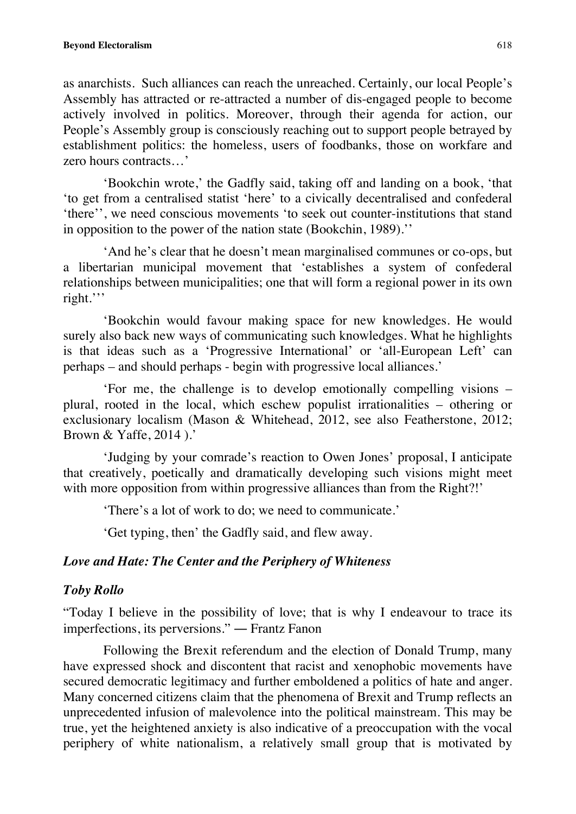as anarchists. Such alliances can reach the unreached. Certainly, our local People's Assembly has attracted or re-attracted a number of dis-engaged people to become actively involved in politics. Moreover, through their agenda for action, our People's Assembly group is consciously reaching out to support people betrayed by establishment politics: the homeless, users of foodbanks, those on workfare and zero hours contracts…'

'Bookchin wrote,' the Gadfly said, taking off and landing on a book, 'that 'to get from a centralised statist 'here' to a civically decentralised and confederal 'there'', we need conscious movements 'to seek out counter-institutions that stand in opposition to the power of the nation state (Bookchin, 1989).''

'And he's clear that he doesn't mean marginalised communes or co-ops, but a libertarian municipal movement that 'establishes a system of confederal relationships between municipalities; one that will form a regional power in its own right.'''

'Bookchin would favour making space for new knowledges. He would surely also back new ways of communicating such knowledges. What he highlights is that ideas such as a 'Progressive International' or 'all-European Left' can perhaps – and should perhaps - begin with progressive local alliances.'

'For me, the challenge is to develop emotionally compelling visions – plural, rooted in the local, which eschew populist irrationalities – othering or exclusionary localism (Mason & Whitehead, 2012, see also Featherstone, 2012; Brown & Yaffe, 2014 ).'

'Judging by your comrade's reaction to Owen Jones' proposal, I anticipate that creatively, poetically and dramatically developing such visions might meet with more opposition from within progressive alliances than from the Right?!'

'There's a lot of work to do; we need to communicate.'

'Get typing, then' the Gadfly said, and flew away.

# *Love and Hate: The Center and the Periphery of Whiteness*

# *Toby Rollo*

"Today I believe in the possibility of love; that is why I endeavour to trace its imperfections, its perversions." ― Frantz Fanon

Following the Brexit referendum and the election of Donald Trump, many have expressed shock and discontent that racist and xenophobic movements have secured democratic legitimacy and further emboldened a politics of hate and anger. Many concerned citizens claim that the phenomena of Brexit and Trump reflects an unprecedented infusion of malevolence into the political mainstream. This may be true, yet the heightened anxiety is also indicative of a preoccupation with the vocal periphery of white nationalism, a relatively small group that is motivated by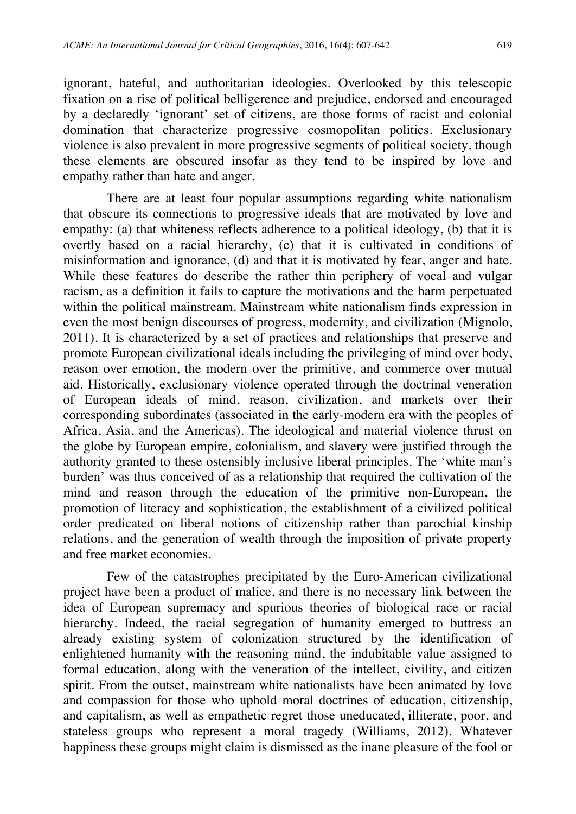ignorant, hateful, and authoritarian ideologies. Overlooked by this telescopic fixation on a rise of political belligerence and prejudice, endorsed and encouraged by a declaredly 'ignorant' set of citizens, are those forms of racist and colonial domination that characterize progressive cosmopolitan politics. Exclusionary violence is also prevalent in more progressive segments of political society, though these elements are obscured insofar as they tend to be inspired by love and empathy rather than hate and anger.

There are at least four popular assumptions regarding white nationalism that obscure its connections to progressive ideals that are motivated by love and empathy: (a) that whiteness reflects adherence to a political ideology, (b) that it is overtly based on a racial hierarchy, (c) that it is cultivated in conditions of misinformation and ignorance, (d) and that it is motivated by fear, anger and hate. While these features do describe the rather thin periphery of vocal and vulgar racism, as a definition it fails to capture the motivations and the harm perpetuated within the political mainstream. Mainstream white nationalism finds expression in even the most benign discourses of progress, modernity, and civilization (Mignolo, 2011). It is characterized by a set of practices and relationships that preserve and promote European civilizational ideals including the privileging of mind over body, reason over emotion, the modern over the primitive, and commerce over mutual aid. Historically, exclusionary violence operated through the doctrinal veneration of European ideals of mind, reason, civilization, and markets over their corresponding subordinates (associated in the early-modern era with the peoples of Africa, Asia, and the Americas). The ideological and material violence thrust on the globe by European empire, colonialism, and slavery were justified through the authority granted to these ostensibly inclusive liberal principles. The 'white man's burden' was thus conceived of as a relationship that required the cultivation of the mind and reason through the education of the primitive non-European, the promotion of literacy and sophistication, the establishment of a civilized political order predicated on liberal notions of citizenship rather than parochial kinship relations, and the generation of wealth through the imposition of private property and free market economies.

Few of the catastrophes precipitated by the Euro-American civilizational project have been a product of malice, and there is no necessary link between the idea of European supremacy and spurious theories of biological race or racial hierarchy. Indeed, the racial segregation of humanity emerged to buttress an already existing system of colonization structured by the identification of enlightened humanity with the reasoning mind, the indubitable value assigned to formal education, along with the veneration of the intellect, civility, and citizen spirit. From the outset, mainstream white nationalists have been animated by love and compassion for those who uphold moral doctrines of education, citizenship, and capitalism, as well as empathetic regret those uneducated, illiterate, poor, and stateless groups who represent a moral tragedy (Williams, 2012). Whatever happiness these groups might claim is dismissed as the inane pleasure of the fool or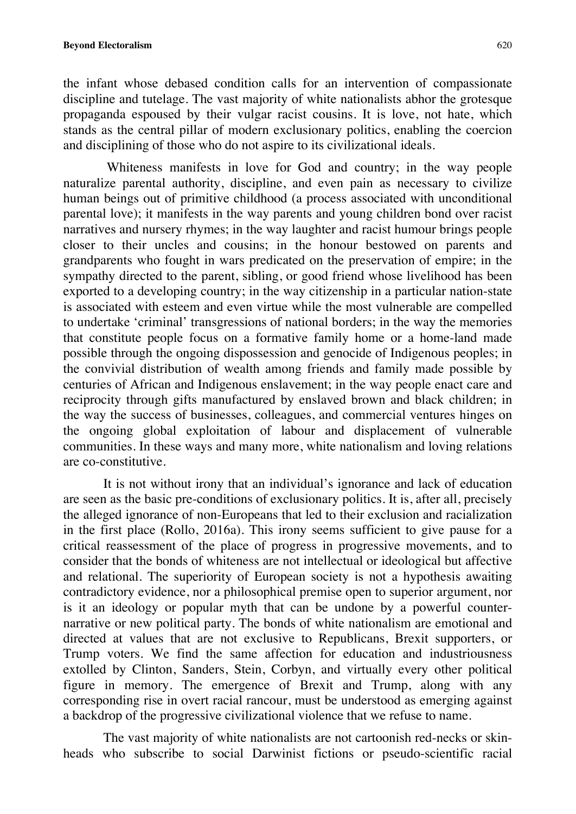the infant whose debased condition calls for an intervention of compassionate discipline and tutelage. The vast majority of white nationalists abhor the grotesque propaganda espoused by their vulgar racist cousins. It is love, not hate, which stands as the central pillar of modern exclusionary politics, enabling the coercion and disciplining of those who do not aspire to its civilizational ideals.

Whiteness manifests in love for God and country; in the way people naturalize parental authority, discipline, and even pain as necessary to civilize human beings out of primitive childhood (a process associated with unconditional parental love); it manifests in the way parents and young children bond over racist narratives and nursery rhymes; in the way laughter and racist humour brings people closer to their uncles and cousins; in the honour bestowed on parents and grandparents who fought in wars predicated on the preservation of empire; in the sympathy directed to the parent, sibling, or good friend whose livelihood has been exported to a developing country; in the way citizenship in a particular nation-state is associated with esteem and even virtue while the most vulnerable are compelled to undertake 'criminal' transgressions of national borders; in the way the memories that constitute people focus on a formative family home or a home-land made possible through the ongoing dispossession and genocide of Indigenous peoples; in the convivial distribution of wealth among friends and family made possible by centuries of African and Indigenous enslavement; in the way people enact care and reciprocity through gifts manufactured by enslaved brown and black children; in the way the success of businesses, colleagues, and commercial ventures hinges on the ongoing global exploitation of labour and displacement of vulnerable communities. In these ways and many more, white nationalism and loving relations are co-constitutive.

It is not without irony that an individual's ignorance and lack of education are seen as the basic pre-conditions of exclusionary politics. It is, after all, precisely the alleged ignorance of non-Europeans that led to their exclusion and racialization in the first place (Rollo, 2016a). This irony seems sufficient to give pause for a critical reassessment of the place of progress in progressive movements, and to consider that the bonds of whiteness are not intellectual or ideological but affective and relational. The superiority of European society is not a hypothesis awaiting contradictory evidence, nor a philosophical premise open to superior argument, nor is it an ideology or popular myth that can be undone by a powerful counternarrative or new political party. The bonds of white nationalism are emotional and directed at values that are not exclusive to Republicans, Brexit supporters, or Trump voters. We find the same affection for education and industriousness extolled by Clinton, Sanders, Stein, Corbyn, and virtually every other political figure in memory. The emergence of Brexit and Trump, along with any corresponding rise in overt racial rancour, must be understood as emerging against a backdrop of the progressive civilizational violence that we refuse to name.

The vast majority of white nationalists are not cartoonish red-necks or skinheads who subscribe to social Darwinist fictions or pseudo-scientific racial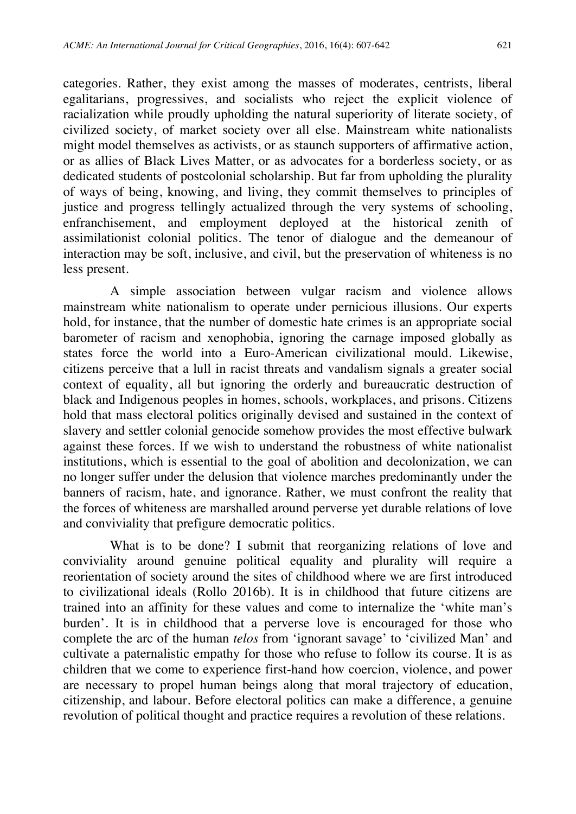categories. Rather, they exist among the masses of moderates, centrists, liberal egalitarians, progressives, and socialists who reject the explicit violence of racialization while proudly upholding the natural superiority of literate society, of civilized society, of market society over all else. Mainstream white nationalists might model themselves as activists, or as staunch supporters of affirmative action, or as allies of Black Lives Matter, or as advocates for a borderless society, or as dedicated students of postcolonial scholarship. But far from upholding the plurality of ways of being, knowing, and living, they commit themselves to principles of justice and progress tellingly actualized through the very systems of schooling, enfranchisement, and employment deployed at the historical zenith of assimilationist colonial politics. The tenor of dialogue and the demeanour of interaction may be soft, inclusive, and civil, but the preservation of whiteness is no less present.

 A simple association between vulgar racism and violence allows mainstream white nationalism to operate under pernicious illusions. Our experts hold, for instance, that the number of domestic hate crimes is an appropriate social barometer of racism and xenophobia, ignoring the carnage imposed globally as states force the world into a Euro-American civilizational mould. Likewise, citizens perceive that a lull in racist threats and vandalism signals a greater social context of equality, all but ignoring the orderly and bureaucratic destruction of black and Indigenous peoples in homes, schools, workplaces, and prisons. Citizens hold that mass electoral politics originally devised and sustained in the context of slavery and settler colonial genocide somehow provides the most effective bulwark against these forces. If we wish to understand the robustness of white nationalist institutions, which is essential to the goal of abolition and decolonization, we can no longer suffer under the delusion that violence marches predominantly under the banners of racism, hate, and ignorance. Rather, we must confront the reality that the forces of whiteness are marshalled around perverse yet durable relations of love and conviviality that prefigure democratic politics.

 What is to be done? I submit that reorganizing relations of love and conviviality around genuine political equality and plurality will require a reorientation of society around the sites of childhood where we are first introduced to civilizational ideals (Rollo 2016b). It is in childhood that future citizens are trained into an affinity for these values and come to internalize the 'white man's burden'. It is in childhood that a perverse love is encouraged for those who complete the arc of the human *telos* from 'ignorant savage' to 'civilized Man' and cultivate a paternalistic empathy for those who refuse to follow its course. It is as children that we come to experience first-hand how coercion, violence, and power are necessary to propel human beings along that moral trajectory of education, citizenship, and labour. Before electoral politics can make a difference, a genuine revolution of political thought and practice requires a revolution of these relations.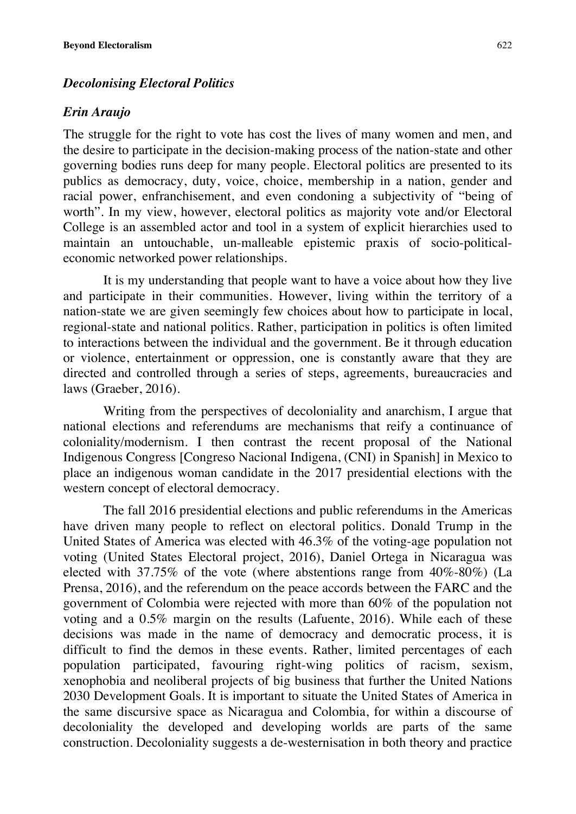#### *Decolonising Electoral Politics*

#### *Erin Araujo*

The struggle for the right to vote has cost the lives of many women and men, and the desire to participate in the decision-making process of the nation-state and other governing bodies runs deep for many people. Electoral politics are presented to its publics as democracy, duty, voice, choice, membership in a nation, gender and racial power, enfranchisement, and even condoning a subjectivity of "being of worth". In my view, however, electoral politics as majority vote and/or Electoral College is an assembled actor and tool in a system of explicit hierarchies used to maintain an untouchable, un-malleable epistemic praxis of socio-politicaleconomic networked power relationships.

It is my understanding that people want to have a voice about how they live and participate in their communities. However, living within the territory of a nation-state we are given seemingly few choices about how to participate in local, regional-state and national politics. Rather, participation in politics is often limited to interactions between the individual and the government. Be it through education or violence, entertainment or oppression, one is constantly aware that they are directed and controlled through a series of steps, agreements, bureaucracies and laws (Graeber, 2016).

Writing from the perspectives of decoloniality and anarchism, I argue that national elections and referendums are mechanisms that reify a continuance of coloniality/modernism. I then contrast the recent proposal of the National Indigenous Congress [Congreso Nacional Indigena, (CNI) in Spanish] in Mexico to place an indigenous woman candidate in the 2017 presidential elections with the western concept of electoral democracy.

The fall 2016 presidential elections and public referendums in the Americas have driven many people to reflect on electoral politics. Donald Trump in the United States of America was elected with 46.3% of the voting-age population not voting (United States Electoral project, 2016), Daniel Ortega in Nicaragua was elected with 37.75% of the vote (where abstentions range from 40%-80%) (La Prensa, 2016), and the referendum on the peace accords between the FARC and the government of Colombia were rejected with more than 60% of the population not voting and a 0.5% margin on the results (Lafuente, 2016). While each of these decisions was made in the name of democracy and democratic process, it is difficult to find the demos in these events. Rather, limited percentages of each population participated, favouring right-wing politics of racism, sexism, xenophobia and neoliberal projects of big business that further the United Nations 2030 Development Goals. It is important to situate the United States of America in the same discursive space as Nicaragua and Colombia, for within a discourse of decoloniality the developed and developing worlds are parts of the same construction. Decoloniality suggests a de-westernisation in both theory and practice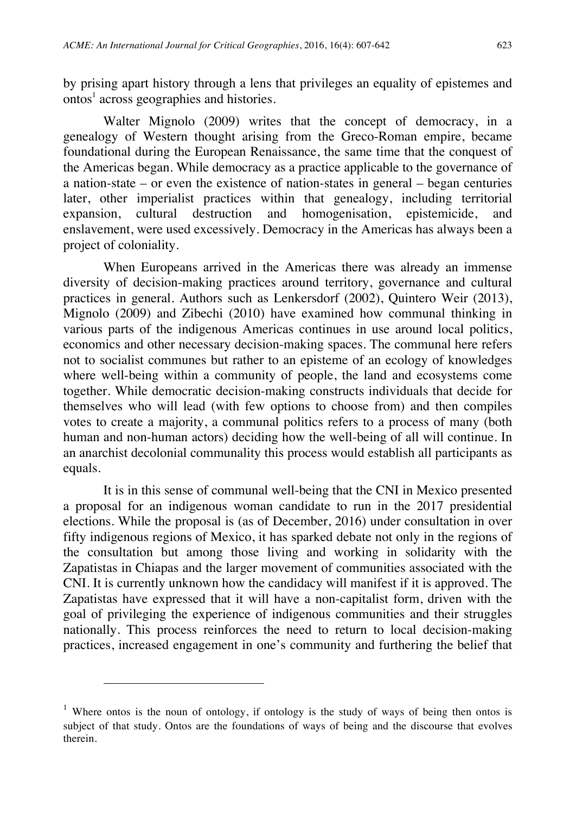by prising apart history through a lens that privileges an equality of epistemes and ontos<sup>1</sup> across geographies and histories.

Walter Mignolo (2009) writes that the concept of democracy, in a genealogy of Western thought arising from the Greco-Roman empire, became foundational during the European Renaissance, the same time that the conquest of the Americas began. While democracy as a practice applicable to the governance of a nation-state – or even the existence of nation-states in general – began centuries later, other imperialist practices within that genealogy, including territorial expansion, cultural destruction and homogenisation, epistemicide, and and homogenisation, epistemicide, and enslavement, were used excessively. Democracy in the Americas has always been a project of coloniality.

When Europeans arrived in the Americas there was already an immense diversity of decision-making practices around territory, governance and cultural practices in general. Authors such as Lenkersdorf (2002), Quintero Weir (2013), Mignolo (2009) and Zibechi (2010) have examined how communal thinking in various parts of the indigenous Americas continues in use around local politics, economics and other necessary decision-making spaces. The communal here refers not to socialist communes but rather to an episteme of an ecology of knowledges where well-being within a community of people, the land and ecosystems come together. While democratic decision-making constructs individuals that decide for themselves who will lead (with few options to choose from) and then compiles votes to create a majority, a communal politics refers to a process of many (both human and non-human actors) deciding how the well-being of all will continue. In an anarchist decolonial communality this process would establish all participants as equals.

It is in this sense of communal well-being that the CNI in Mexico presented a proposal for an indigenous woman candidate to run in the 2017 presidential elections. While the proposal is (as of December, 2016) under consultation in over fifty indigenous regions of Mexico, it has sparked debate not only in the regions of the consultation but among those living and working in solidarity with the Zapatistas in Chiapas and the larger movement of communities associated with the CNI. It is currently unknown how the candidacy will manifest if it is approved. The Zapatistas have expressed that it will have a non-capitalist form, driven with the goal of privileging the experience of indigenous communities and their struggles nationally. This process reinforces the need to return to local decision-making practices, increased engagement in one's community and furthering the belief that

 $\overline{a}$ 

<sup>&</sup>lt;sup>1</sup> Where ontos is the noun of ontology, if ontology is the study of ways of being then ontos is subject of that study. Ontos are the foundations of ways of being and the discourse that evolves therein.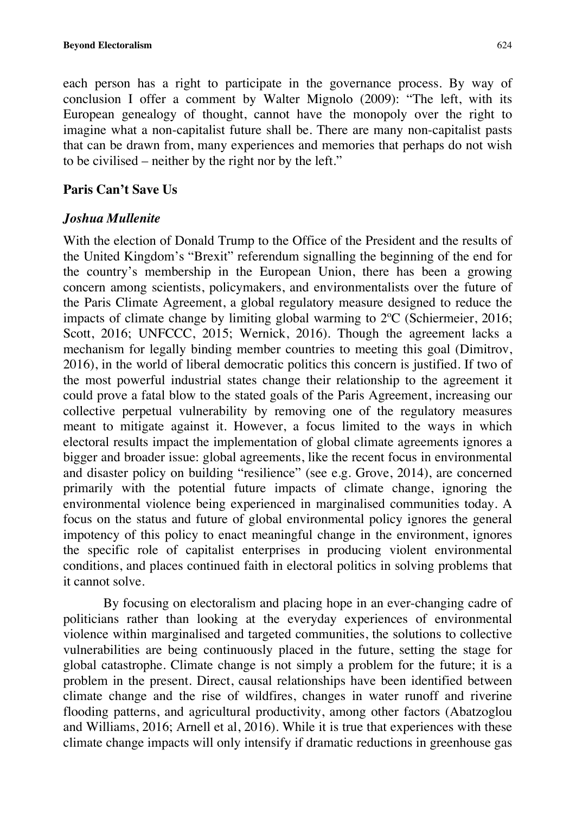each person has a right to participate in the governance process. By way of conclusion I offer a comment by Walter Mignolo (2009): "The left, with its European genealogy of thought, cannot have the monopoly over the right to imagine what a non-capitalist future shall be. There are many non-capitalist pasts that can be drawn from, many experiences and memories that perhaps do not wish to be civilised – neither by the right nor by the left."

# **Paris Can't Save Us**

# *Joshua Mullenite*

With the election of Donald Trump to the Office of the President and the results of the United Kingdom's "Brexit" referendum signalling the beginning of the end for the country's membership in the European Union, there has been a growing concern among scientists, policymakers, and environmentalists over the future of the Paris Climate Agreement, a global regulatory measure designed to reduce the impacts of climate change by limiting global warming to 2ºC (Schiermeier, 2016; Scott, 2016; UNFCCC, 2015; Wernick, 2016). Though the agreement lacks a mechanism for legally binding member countries to meeting this goal (Dimitrov, 2016), in the world of liberal democratic politics this concern is justified. If two of the most powerful industrial states change their relationship to the agreement it could prove a fatal blow to the stated goals of the Paris Agreement, increasing our collective perpetual vulnerability by removing one of the regulatory measures meant to mitigate against it. However, a focus limited to the ways in which electoral results impact the implementation of global climate agreements ignores a bigger and broader issue: global agreements, like the recent focus in environmental and disaster policy on building "resilience" (see e.g. Grove, 2014), are concerned primarily with the potential future impacts of climate change, ignoring the environmental violence being experienced in marginalised communities today. A focus on the status and future of global environmental policy ignores the general impotency of this policy to enact meaningful change in the environment, ignores the specific role of capitalist enterprises in producing violent environmental conditions, and places continued faith in electoral politics in solving problems that it cannot solve.

By focusing on electoralism and placing hope in an ever-changing cadre of politicians rather than looking at the everyday experiences of environmental violence within marginalised and targeted communities, the solutions to collective vulnerabilities are being continuously placed in the future, setting the stage for global catastrophe. Climate change is not simply a problem for the future; it is a problem in the present. Direct, causal relationships have been identified between climate change and the rise of wildfires, changes in water runoff and riverine flooding patterns, and agricultural productivity, among other factors (Abatzoglou and Williams, 2016; Arnell et al, 2016). While it is true that experiences with these climate change impacts will only intensify if dramatic reductions in greenhouse gas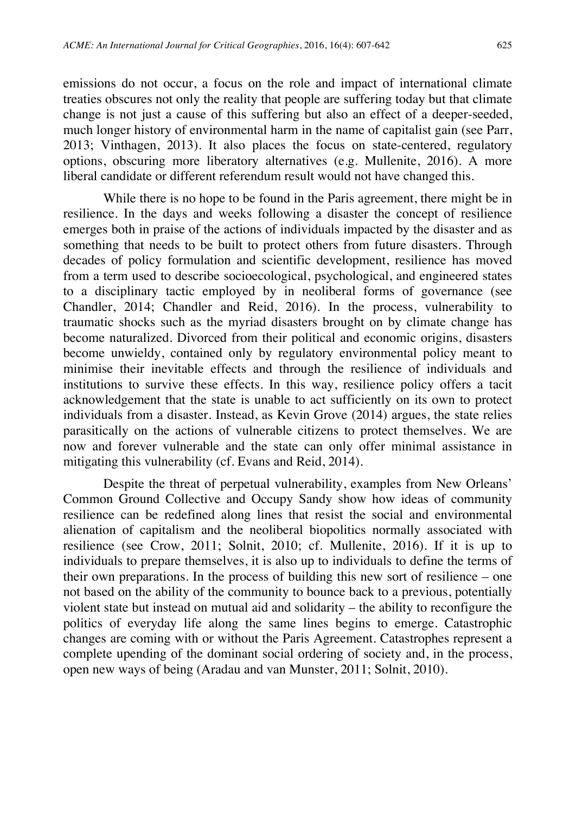emissions do not occur, a focus on the role and impact of international climate treaties obscures not only the reality that people are suffering today but that climate change is not just a cause of this suffering but also an effect of a deeper-seeded, much longer history of environmental harm in the name of capitalist gain (see Parr, 2013; Vinthagen, 2013). It also places the focus on state-centered, regulatory options, obscuring more liberatory alternatives (e.g. Mullenite, 2016). A more liberal candidate or different referendum result would not have changed this.

While there is no hope to be found in the Paris agreement, there might be in resilience. In the days and weeks following a disaster the concept of resilience emerges both in praise of the actions of individuals impacted by the disaster and as something that needs to be built to protect others from future disasters. Through decades of policy formulation and scientific development, resilience has moved from a term used to describe socioecological, psychological, and engineered states to a disciplinary tactic employed by in neoliberal forms of governance (see Chandler, 2014; Chandler and Reid, 2016). In the process, vulnerability to traumatic shocks such as the myriad disasters brought on by climate change has become naturalized. Divorced from their political and economic origins, disasters become unwieldy, contained only by regulatory environmental policy meant to minimise their inevitable effects and through the resilience of individuals and institutions to survive these effects. In this way, resilience policy offers a tacit acknowledgement that the state is unable to act sufficiently on its own to protect individuals from a disaster. Instead, as Kevin Grove (2014) argues, the state relies parasitically on the actions of vulnerable citizens to protect themselves. We are now and forever vulnerable and the state can only offer minimal assistance in mitigating this vulnerability (cf. Evans and Reid, 2014).

Despite the threat of perpetual vulnerability, examples from New Orleans' Common Ground Collective and Occupy Sandy show how ideas of community resilience can be redefined along lines that resist the social and environmental alienation of capitalism and the neoliberal biopolitics normally associated with resilience (see Crow, 2011; Solnit, 2010; cf. Mullenite, 2016). If it is up to individuals to prepare themselves, it is also up to individuals to define the terms of their own preparations. In the process of building this new sort of resilience – one not based on the ability of the community to bounce back to a previous, potentially violent state but instead on mutual aid and solidarity – the ability to reconfigure the politics of everyday life along the same lines begins to emerge. Catastrophic changes are coming with or without the Paris Agreement. Catastrophes represent a complete upending of the dominant social ordering of society and, in the process, open new ways of being (Aradau and van Munster, 2011; Solnit, 2010).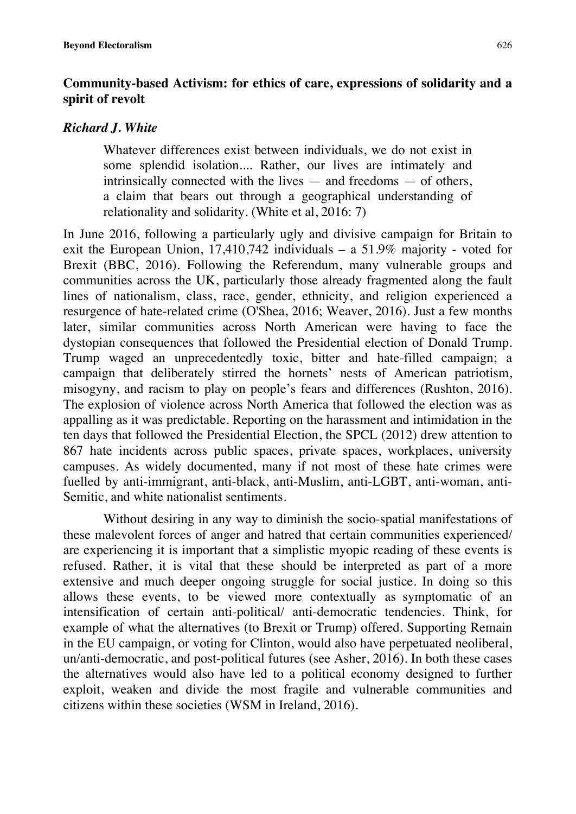# **Community-based Activism: for ethics of care, expressions of solidarity and a spirit of revolt**

# *Richard J. White*

Whatever differences exist between individuals, we do not exist in some splendid isolation.... Rather, our lives are intimately and intrinsically connected with the lives — and freedoms — of others, a claim that bears out through a geographical understanding of relationality and solidarity. (White et al, 2016: 7)

In June 2016, following a particularly ugly and divisive campaign for Britain to exit the European Union, 17,410,742 individuals – a 51.9% majority - voted for Brexit (BBC, 2016). Following the Referendum, many vulnerable groups and communities across the UK, particularly those already fragmented along the fault lines of nationalism, class, race, gender, ethnicity, and religion experienced a resurgence of hate-related crime (O'Shea, 2016; Weaver, 2016). Just a few months later, similar communities across North American were having to face the dystopian consequences that followed the Presidential election of Donald Trump. Trump waged an unprecedentedly toxic, bitter and hate-filled campaign; a campaign that deliberately stirred the hornets' nests of American patriotism, misogyny, and racism to play on people's fears and differences (Rushton, 2016). The explosion of violence across North America that followed the election was as appalling as it was predictable. Reporting on the harassment and intimidation in the ten days that followed the Presidential Election, the SPCL (2012) drew attention to 867 hate incidents across public spaces, private spaces, workplaces, university campuses. As widely documented, many if not most of these hate crimes were fuelled by anti-immigrant, anti-black, anti-Muslim, anti-LGBT, anti-woman, anti-Semitic, and white nationalist sentiments.

Without desiring in any way to diminish the socio-spatial manifestations of these malevolent forces of anger and hatred that certain communities experienced/ are experiencing it is important that a simplistic myopic reading of these events is refused. Rather, it is vital that these should be interpreted as part of a more extensive and much deeper ongoing struggle for social justice. In doing so this allows these events, to be viewed more contextually as symptomatic of an intensification of certain anti-political/ anti-democratic tendencies. Think, for example of what the alternatives (to Brexit or Trump) offered. Supporting Remain in the EU campaign, or voting for Clinton, would also have perpetuated neoliberal, un/anti-democratic, and post-political futures (see Asher, 2016). In both these cases the alternatives would also have led to a political economy designed to further exploit, weaken and divide the most fragile and vulnerable communities and citizens within these societies (WSM in Ireland, 2016).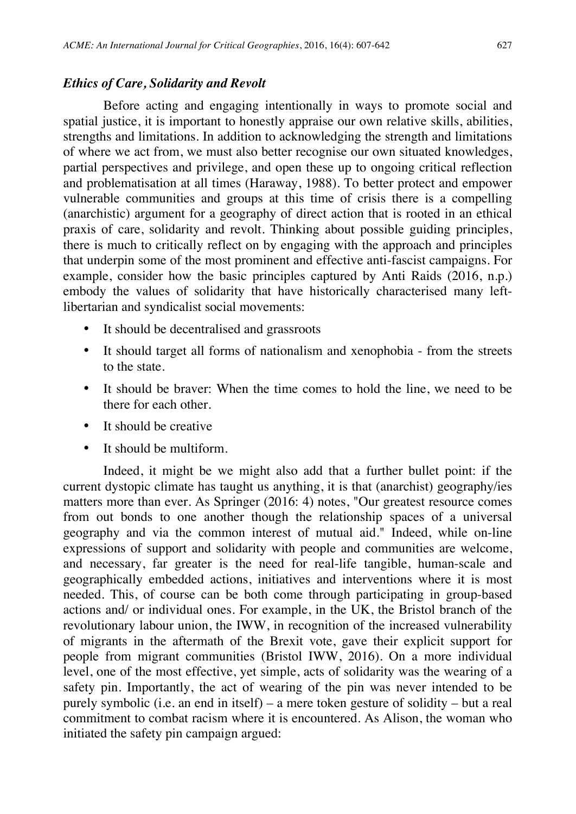#### *Ethics of Care, Solidarity and Revolt*

Before acting and engaging intentionally in ways to promote social and spatial justice, it is important to honestly appraise our own relative skills, abilities, strengths and limitations. In addition to acknowledging the strength and limitations of where we act from, we must also better recognise our own situated knowledges, partial perspectives and privilege, and open these up to ongoing critical reflection and problematisation at all times (Haraway, 1988). To better protect and empower vulnerable communities and groups at this time of crisis there is a compelling (anarchistic) argument for a geography of direct action that is rooted in an ethical praxis of care, solidarity and revolt. Thinking about possible guiding principles, there is much to critically reflect on by engaging with the approach and principles that underpin some of the most prominent and effective anti-fascist campaigns. For example, consider how the basic principles captured by Anti Raids (2016, n.p.) embody the values of solidarity that have historically characterised many leftlibertarian and syndicalist social movements:

- It should be decentralised and grassroots
- It should target all forms of nationalism and xenophobia from the streets to the state.
- It should be braver: When the time comes to hold the line, we need to be there for each other.
- It should be creative
- It should be multiform.

Indeed, it might be we might also add that a further bullet point: if the current dystopic climate has taught us anything, it is that (anarchist) geography/ies matters more than ever. As Springer (2016: 4) notes, "Our greatest resource comes from out bonds to one another though the relationship spaces of a universal geography and via the common interest of mutual aid." Indeed, while on-line expressions of support and solidarity with people and communities are welcome, and necessary, far greater is the need for real-life tangible, human-scale and geographically embedded actions, initiatives and interventions where it is most needed. This, of course can be both come through participating in group-based actions and/ or individual ones. For example, in the UK, the Bristol branch of the revolutionary labour union, the IWW, in recognition of the increased vulnerability of migrants in the aftermath of the Brexit vote, gave their explicit support for people from migrant communities (Bristol IWW, 2016). On a more individual level, one of the most effective, yet simple, acts of solidarity was the wearing of a safety pin. Importantly, the act of wearing of the pin was never intended to be purely symbolic (i.e. an end in itself) – a mere token gesture of solidity – but a real commitment to combat racism where it is encountered. As Alison, the woman who initiated the safety pin campaign argued: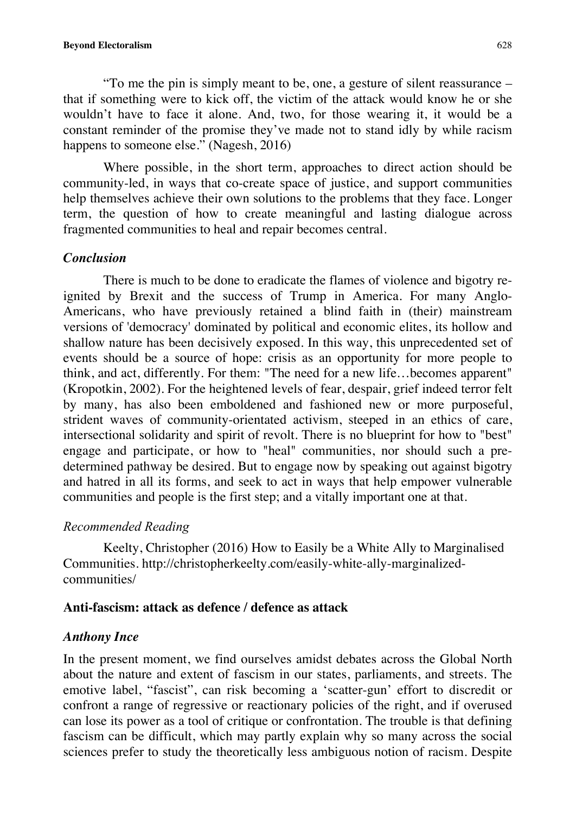"To me the pin is simply meant to be, one, a gesture of silent reassurance – that if something were to kick off, the victim of the attack would know he or she wouldn't have to face it alone. And, two, for those wearing it, it would be a constant reminder of the promise they've made not to stand idly by while racism happens to someone else." (Nagesh, 2016)

Where possible, in the short term, approaches to direct action should be community-led, in ways that co-create space of justice, and support communities help themselves achieve their own solutions to the problems that they face. Longer term, the question of how to create meaningful and lasting dialogue across fragmented communities to heal and repair becomes central.

# *Conclusion*

There is much to be done to eradicate the flames of violence and bigotry reignited by Brexit and the success of Trump in America. For many Anglo-Americans, who have previously retained a blind faith in (their) mainstream versions of 'democracy' dominated by political and economic elites, its hollow and shallow nature has been decisively exposed. In this way, this unprecedented set of events should be a source of hope: crisis as an opportunity for more people to think, and act, differently. For them: "The need for a new life…becomes apparent" (Kropotkin, 2002). For the heightened levels of fear, despair, grief indeed terror felt by many, has also been emboldened and fashioned new or more purposeful, strident waves of community-orientated activism, steeped in an ethics of care, intersectional solidarity and spirit of revolt. There is no blueprint for how to "best" engage and participate, or how to "heal" communities, nor should such a predetermined pathway be desired. But to engage now by speaking out against bigotry and hatred in all its forms, and seek to act in ways that help empower vulnerable communities and people is the first step; and a vitally important one at that.

# *Recommended Reading*

Keelty, Christopher (2016) How to Easily be a White Ally to Marginalised Communities. http://christopherkeelty.com/easily-white-ally-marginalizedcommunities/

#### **Anti-fascism: attack as defence / defence as attack**

#### *Anthony Ince*

In the present moment, we find ourselves amidst debates across the Global North about the nature and extent of fascism in our states, parliaments, and streets. The emotive label, "fascist", can risk becoming a 'scatter-gun' effort to discredit or confront a range of regressive or reactionary policies of the right, and if overused can lose its power as a tool of critique or confrontation. The trouble is that defining fascism can be difficult, which may partly explain why so many across the social sciences prefer to study the theoretically less ambiguous notion of racism. Despite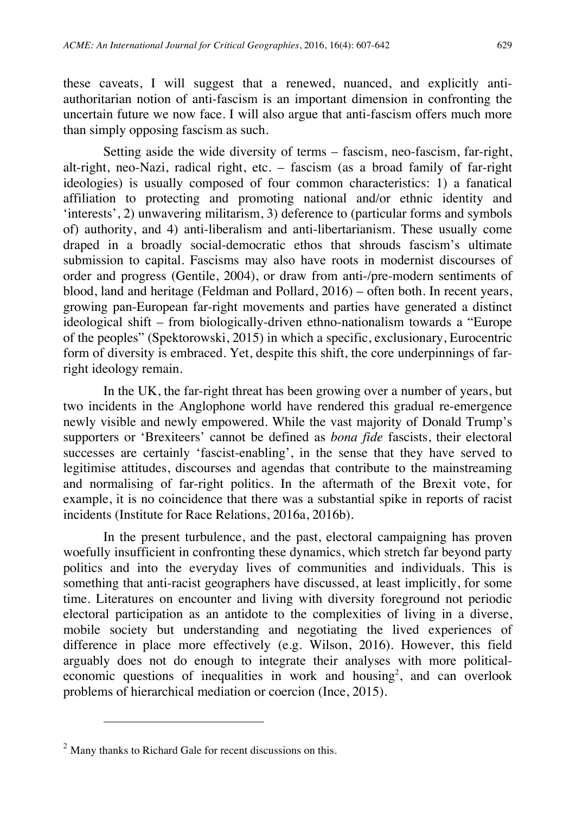these caveats, I will suggest that a renewed, nuanced, and explicitly antiauthoritarian notion of anti-fascism is an important dimension in confronting the uncertain future we now face. I will also argue that anti-fascism offers much more than simply opposing fascism as such.

Setting aside the wide diversity of terms – fascism, neo-fascism, far-right, alt-right, neo-Nazi, radical right, etc. – fascism (as a broad family of far-right ideologies) is usually composed of four common characteristics: 1) a fanatical affiliation to protecting and promoting national and/or ethnic identity and 'interests', 2) unwavering militarism, 3) deference to (particular forms and symbols of) authority, and 4) anti-liberalism and anti-libertarianism. These usually come draped in a broadly social-democratic ethos that shrouds fascism's ultimate submission to capital. Fascisms may also have roots in modernist discourses of order and progress (Gentile, 2004), or draw from anti-/pre-modern sentiments of blood, land and heritage (Feldman and Pollard, 2016) – often both. In recent years, growing pan-European far-right movements and parties have generated a distinct ideological shift – from biologically-driven ethno-nationalism towards a "Europe of the peoples" (Spektorowski, 2015) in which a specific, exclusionary, Eurocentric form of diversity is embraced. Yet, despite this shift, the core underpinnings of farright ideology remain.

In the UK, the far-right threat has been growing over a number of years, but two incidents in the Anglophone world have rendered this gradual re-emergence newly visible and newly empowered. While the vast majority of Donald Trump's supporters or 'Brexiteers' cannot be defined as *bona fide* fascists, their electoral successes are certainly 'fascist-enabling', in the sense that they have served to legitimise attitudes, discourses and agendas that contribute to the mainstreaming and normalising of far-right politics. In the aftermath of the Brexit vote, for example, it is no coincidence that there was a substantial spike in reports of racist incidents (Institute for Race Relations, 2016a, 2016b).

In the present turbulence, and the past, electoral campaigning has proven woefully insufficient in confronting these dynamics, which stretch far beyond party politics and into the everyday lives of communities and individuals. This is something that anti-racist geographers have discussed, at least implicitly, for some time. Literatures on encounter and living with diversity foreground not periodic electoral participation as an antidote to the complexities of living in a diverse, mobile society but understanding and negotiating the lived experiences of difference in place more effectively (e.g. Wilson, 2016). However, this field arguably does not do enough to integrate their analyses with more politicaleconomic questions of inequalities in work and housing<sup>2</sup>, and can overlook problems of hierarchical mediation or coercion (Ince, 2015).

 $\overline{a}$ 

 $<sup>2</sup>$  Many thanks to Richard Gale for recent discussions on this.</sup>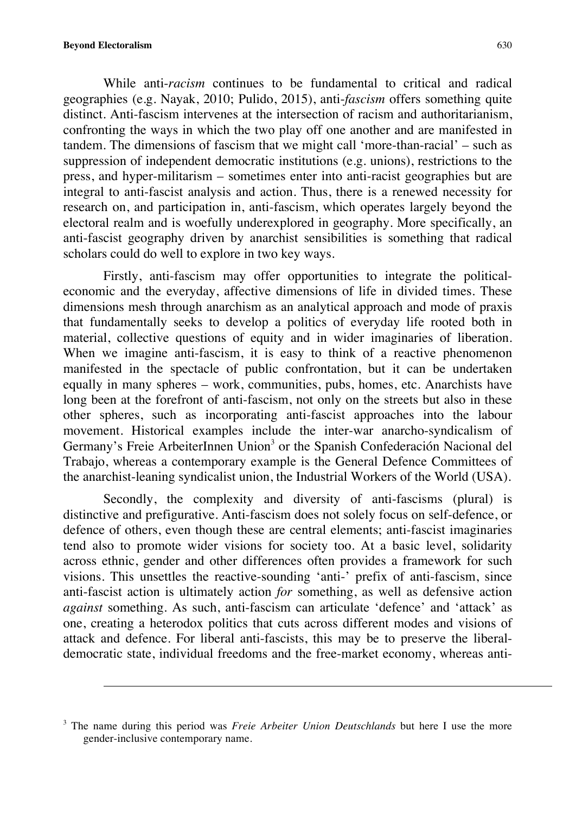$\overline{a}$ 

While anti-*racism* continues to be fundamental to critical and radical geographies (e.g. Nayak, 2010; Pulido, 2015), anti-*fascism* offers something quite distinct. Anti-fascism intervenes at the intersection of racism and authoritarianism, confronting the ways in which the two play off one another and are manifested in tandem. The dimensions of fascism that we might call 'more-than-racial' – such as suppression of independent democratic institutions (e.g. unions), restrictions to the press, and hyper-militarism – sometimes enter into anti-racist geographies but are integral to anti-fascist analysis and action. Thus, there is a renewed necessity for research on, and participation in, anti-fascism, which operates largely beyond the electoral realm and is woefully underexplored in geography. More specifically, an anti-fascist geography driven by anarchist sensibilities is something that radical scholars could do well to explore in two key ways.

Firstly, anti-fascism may offer opportunities to integrate the politicaleconomic and the everyday, affective dimensions of life in divided times. These dimensions mesh through anarchism as an analytical approach and mode of praxis that fundamentally seeks to develop a politics of everyday life rooted both in material, collective questions of equity and in wider imaginaries of liberation. When we imagine anti-fascism, it is easy to think of a reactive phenomenon manifested in the spectacle of public confrontation, but it can be undertaken equally in many spheres – work, communities, pubs, homes, etc. Anarchists have long been at the forefront of anti-fascism, not only on the streets but also in these other spheres, such as incorporating anti-fascist approaches into the labour movement. Historical examples include the inter-war anarcho-syndicalism of Germany's Freie ArbeiterInnen Union<sup>3</sup> or the Spanish Confederación Nacional del Trabajo, whereas a contemporary example is the General Defence Committees of the anarchist-leaning syndicalist union, the Industrial Workers of the World (USA).

Secondly, the complexity and diversity of anti-fascisms (plural) is distinctive and prefigurative. Anti-fascism does not solely focus on self-defence, or defence of others, even though these are central elements; anti-fascist imaginaries tend also to promote wider visions for society too. At a basic level, solidarity across ethnic, gender and other differences often provides a framework for such visions. This unsettles the reactive-sounding 'anti-' prefix of anti-fascism, since anti-fascist action is ultimately action *for* something, as well as defensive action *against* something. As such, anti-fascism can articulate 'defence' and 'attack' as one, creating a heterodox politics that cuts across different modes and visions of attack and defence. For liberal anti-fascists, this may be to preserve the liberaldemocratic state, individual freedoms and the free-market economy, whereas anti-

<sup>3</sup> The name during this period was *Freie Arbeiter Union Deutschlands* but here I use the more gender-inclusive contemporary name.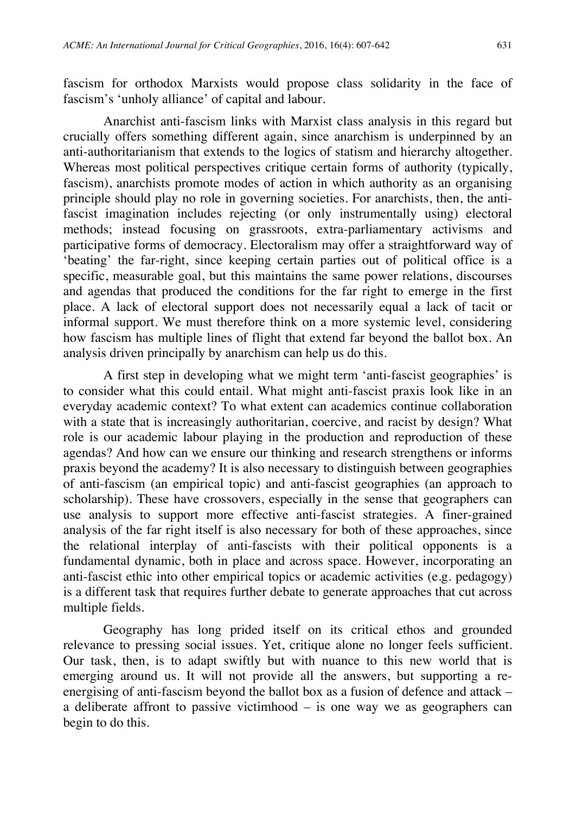fascism for orthodox Marxists would propose class solidarity in the face of fascism's 'unholy alliance' of capital and labour.

Anarchist anti-fascism links with Marxist class analysis in this regard but crucially offers something different again, since anarchism is underpinned by an anti-authoritarianism that extends to the logics of statism and hierarchy altogether. Whereas most political perspectives critique certain forms of authority (typically, fascism), anarchists promote modes of action in which authority as an organising principle should play no role in governing societies. For anarchists, then, the antifascist imagination includes rejecting (or only instrumentally using) electoral methods; instead focusing on grassroots, extra-parliamentary activisms and participative forms of democracy. Electoralism may offer a straightforward way of 'beating' the far-right, since keeping certain parties out of political office is a specific, measurable goal, but this maintains the same power relations, discourses and agendas that produced the conditions for the far right to emerge in the first place. A lack of electoral support does not necessarily equal a lack of tacit or informal support. We must therefore think on a more systemic level, considering how fascism has multiple lines of flight that extend far beyond the ballot box. An analysis driven principally by anarchism can help us do this.

A first step in developing what we might term 'anti-fascist geographies' is to consider what this could entail. What might anti-fascist praxis look like in an everyday academic context? To what extent can academics continue collaboration with a state that is increasingly authoritarian, coercive, and racist by design? What role is our academic labour playing in the production and reproduction of these agendas? And how can we ensure our thinking and research strengthens or informs praxis beyond the academy? It is also necessary to distinguish between geographies of anti-fascism (an empirical topic) and anti-fascist geographies (an approach to scholarship). These have crossovers, especially in the sense that geographers can use analysis to support more effective anti-fascist strategies. A finer-grained analysis of the far right itself is also necessary for both of these approaches, since the relational interplay of anti-fascists with their political opponents is a fundamental dynamic, both in place and across space. However, incorporating an anti-fascist ethic into other empirical topics or academic activities (e.g. pedagogy) is a different task that requires further debate to generate approaches that cut across multiple fields.

Geography has long prided itself on its critical ethos and grounded relevance to pressing social issues. Yet, critique alone no longer feels sufficient. Our task, then, is to adapt swiftly but with nuance to this new world that is emerging around us. It will not provide all the answers, but supporting a reenergising of anti-fascism beyond the ballot box as a fusion of defence and attack – a deliberate affront to passive victimhood – is one way we as geographers can begin to do this.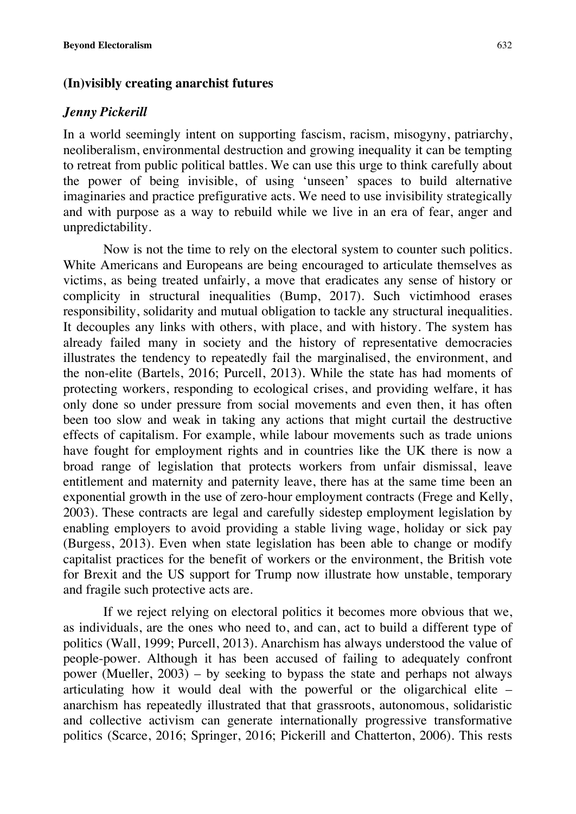#### **(In)visibly creating anarchist futures**

#### *Jenny Pickerill*

In a world seemingly intent on supporting fascism, racism, misogyny, patriarchy, neoliberalism, environmental destruction and growing inequality it can be tempting to retreat from public political battles. We can use this urge to think carefully about the power of being invisible, of using 'unseen' spaces to build alternative imaginaries and practice prefigurative acts. We need to use invisibility strategically and with purpose as a way to rebuild while we live in an era of fear, anger and unpredictability.

Now is not the time to rely on the electoral system to counter such politics. White Americans and Europeans are being encouraged to articulate themselves as victims, as being treated unfairly, a move that eradicates any sense of history or complicity in structural inequalities (Bump, 2017). Such victimhood erases responsibility, solidarity and mutual obligation to tackle any structural inequalities. It decouples any links with others, with place, and with history. The system has already failed many in society and the history of representative democracies illustrates the tendency to repeatedly fail the marginalised, the environment, and the non-elite (Bartels, 2016; Purcell, 2013). While the state has had moments of protecting workers, responding to ecological crises, and providing welfare, it has only done so under pressure from social movements and even then, it has often been too slow and weak in taking any actions that might curtail the destructive effects of capitalism. For example, while labour movements such as trade unions have fought for employment rights and in countries like the UK there is now a broad range of legislation that protects workers from unfair dismissal, leave entitlement and maternity and paternity leave, there has at the same time been an exponential growth in the use of zero-hour employment contracts (Frege and Kelly, 2003). These contracts are legal and carefully sidestep employment legislation by enabling employers to avoid providing a stable living wage, holiday or sick pay (Burgess, 2013). Even when state legislation has been able to change or modify capitalist practices for the benefit of workers or the environment, the British vote for Brexit and the US support for Trump now illustrate how unstable, temporary and fragile such protective acts are.

If we reject relying on electoral politics it becomes more obvious that we, as individuals, are the ones who need to, and can, act to build a different type of politics (Wall, 1999; Purcell, 2013). Anarchism has always understood the value of people-power. Although it has been accused of failing to adequately confront power (Mueller, 2003) – by seeking to bypass the state and perhaps not always articulating how it would deal with the powerful or the oligarchical elite – anarchism has repeatedly illustrated that that grassroots, autonomous, solidaristic and collective activism can generate internationally progressive transformative politics (Scarce, 2016; Springer, 2016; Pickerill and Chatterton, 2006). This rests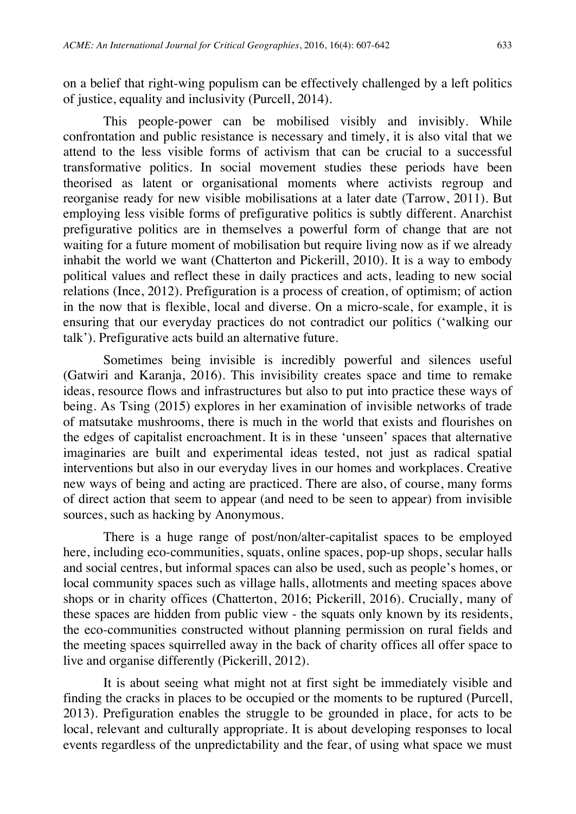on a belief that right-wing populism can be effectively challenged by a left politics of justice, equality and inclusivity (Purcell, 2014).

This people-power can be mobilised visibly and invisibly. While confrontation and public resistance is necessary and timely, it is also vital that we attend to the less visible forms of activism that can be crucial to a successful transformative politics. In social movement studies these periods have been theorised as latent or organisational moments where activists regroup and reorganise ready for new visible mobilisations at a later date (Tarrow, 2011). But employing less visible forms of prefigurative politics is subtly different. Anarchist prefigurative politics are in themselves a powerful form of change that are not waiting for a future moment of mobilisation but require living now as if we already inhabit the world we want (Chatterton and Pickerill, 2010). It is a way to embody political values and reflect these in daily practices and acts, leading to new social relations (Ince, 2012). Prefiguration is a process of creation, of optimism; of action in the now that is flexible, local and diverse. On a micro-scale, for example, it is ensuring that our everyday practices do not contradict our politics ('walking our talk'). Prefigurative acts build an alternative future.

Sometimes being invisible is incredibly powerful and silences useful (Gatwiri and Karanja, 2016). This invisibility creates space and time to remake ideas, resource flows and infrastructures but also to put into practice these ways of being. As Tsing (2015) explores in her examination of invisible networks of trade of matsutake mushrooms, there is much in the world that exists and flourishes on the edges of capitalist encroachment. It is in these 'unseen' spaces that alternative imaginaries are built and experimental ideas tested, not just as radical spatial interventions but also in our everyday lives in our homes and workplaces. Creative new ways of being and acting are practiced. There are also, of course, many forms of direct action that seem to appear (and need to be seen to appear) from invisible sources, such as hacking by Anonymous.

There is a huge range of post/non/alter-capitalist spaces to be employed here, including eco-communities, squats, online spaces, pop-up shops, secular halls and social centres, but informal spaces can also be used, such as people's homes, or local community spaces such as village halls, allotments and meeting spaces above shops or in charity offices (Chatterton, 2016; Pickerill, 2016). Crucially, many of these spaces are hidden from public view - the squats only known by its residents, the eco-communities constructed without planning permission on rural fields and the meeting spaces squirrelled away in the back of charity offices all offer space to live and organise differently (Pickerill, 2012).

It is about seeing what might not at first sight be immediately visible and finding the cracks in places to be occupied or the moments to be ruptured (Purcell, 2013). Prefiguration enables the struggle to be grounded in place, for acts to be local, relevant and culturally appropriate. It is about developing responses to local events regardless of the unpredictability and the fear, of using what space we must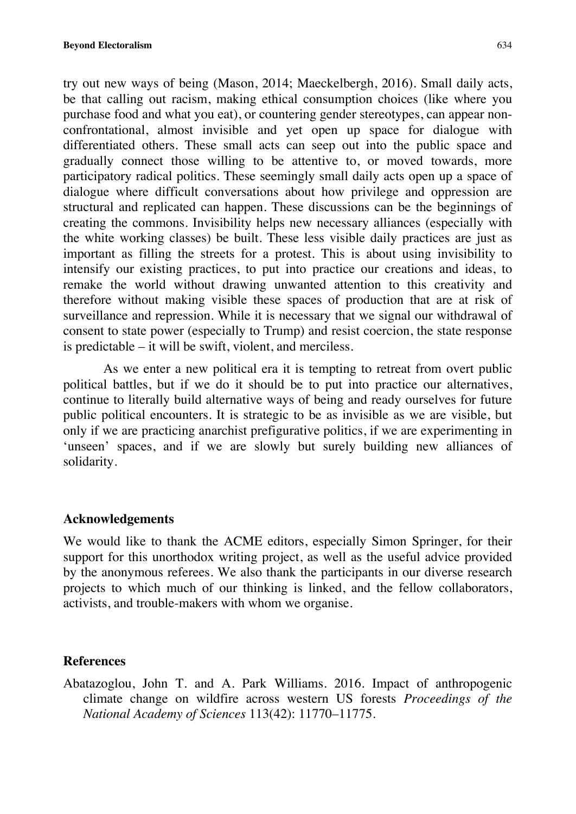try out new ways of being (Mason, 2014; Maeckelbergh, 2016). Small daily acts, be that calling out racism, making ethical consumption choices (like where you purchase food and what you eat), or countering gender stereotypes, can appear nonconfrontational, almost invisible and yet open up space for dialogue with differentiated others. These small acts can seep out into the public space and gradually connect those willing to be attentive to, or moved towards, more participatory radical politics. These seemingly small daily acts open up a space of dialogue where difficult conversations about how privilege and oppression are structural and replicated can happen. These discussions can be the beginnings of creating the commons. Invisibility helps new necessary alliances (especially with the white working classes) be built. These less visible daily practices are just as important as filling the streets for a protest. This is about using invisibility to intensify our existing practices, to put into practice our creations and ideas, to remake the world without drawing unwanted attention to this creativity and therefore without making visible these spaces of production that are at risk of surveillance and repression. While it is necessary that we signal our withdrawal of consent to state power (especially to Trump) and resist coercion, the state response is predictable – it will be swift, violent, and merciless.

As we enter a new political era it is tempting to retreat from overt public political battles, but if we do it should be to put into practice our alternatives, continue to literally build alternative ways of being and ready ourselves for future public political encounters. It is strategic to be as invisible as we are visible, but only if we are practicing anarchist prefigurative politics, if we are experimenting in 'unseen' spaces, and if we are slowly but surely building new alliances of solidarity.

#### **Acknowledgements**

We would like to thank the ACME editors, especially Simon Springer, for their support for this unorthodox writing project, as well as the useful advice provided by the anonymous referees. We also thank the participants in our diverse research projects to which much of our thinking is linked, and the fellow collaborators, activists, and trouble-makers with whom we organise.

# **References**

Abatazoglou, John T. and A. Park Williams. 2016. Impact of anthropogenic climate change on wildfire across western US forests *Proceedings of the National Academy of Sciences* 113(42): 11770–11775.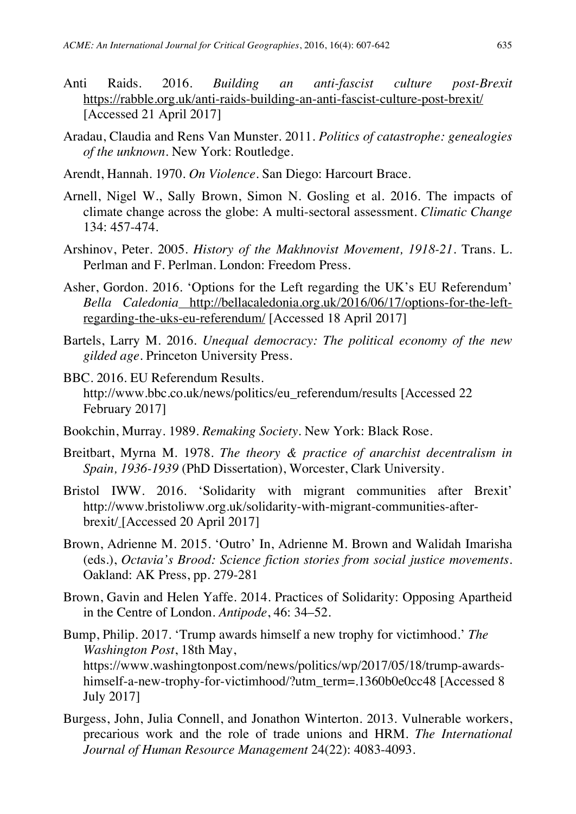- Anti Raids. 2016. *Building an anti-fascist culture post-Brexit* https://rabble.org.uk/anti-raids-building-an-anti-fascist-culture-post-brexit/ [Accessed 21 April 2017]
- Aradau, Claudia and Rens Van Munster. 2011. *Politics of catastrophe: genealogies of the unknown*. New York: Routledge.
- Arendt, Hannah. 1970. *On Violence*. San Diego: Harcourt Brace.
- Arnell, Nigel W., Sally Brown, Simon N. Gosling et al. 2016. The impacts of climate change across the globe: A multi-sectoral assessment. *Climatic Change*  134: 457-474.
- Arshinov, Peter. 2005. *History of the Makhnovist Movement, 1918-21.* Trans. L. Perlman and F. Perlman. London: Freedom Press.
- Asher, Gordon. 2016. 'Options for the Left regarding the UK's EU Referendum' *Bella Caledonia* http://bellacaledonia.org.uk/2016/06/17/options-for-the-leftregarding-the-uks-eu-referendum/ [Accessed 18 April 2017]
- Bartels, Larry M. 2016. *Unequal democracy: The political economy of the new gilded age.* Princeton University Press.
- BBC. 2016. EU Referendum Results. http://www.bbc.co.uk/news/politics/eu\_referendum/results [Accessed 22 February 2017]
- Bookchin, Murray. 1989. *Remaking Society*. New York: Black Rose.
- Breitbart, Myrna M. 1978. *The theory & practice of anarchist decentralism in Spain, 1936-1939* (PhD Dissertation), Worcester, Clark University.
- Bristol IWW. 2016. 'Solidarity with migrant communities after Brexit' http://www.bristoliww.org.uk/solidarity-with-migrant-communities-afterbrexit/ [Accessed 20 April 2017]
- Brown, Adrienne M. 2015. 'Outro' In, Adrienne M. Brown and Walidah Imarisha (eds.), *Octavia's Brood: Science fiction stories from social justice movements*. Oakland: AK Press, pp. 279-281
- Brown, Gavin and Helen Yaffe. 2014. Practices of Solidarity: Opposing Apartheid in the Centre of London. *Antipode*, 46: 34–52.
- Bump, Philip. 2017. 'Trump awards himself a new trophy for victimhood.' *The Washington Post*, 18th May, https://www.washingtonpost.com/news/politics/wp/2017/05/18/trump-awardshimself-a-new-trophy-for-victimhood/?utm\_term=.1360b0e0cc48 [Accessed 8 July 2017]
- Burgess, John, Julia Connell, and Jonathon Winterton. 2013. Vulnerable workers, precarious work and the role of trade unions and HRM. *The International Journal of Human Resource Management* 24(22): 4083-4093.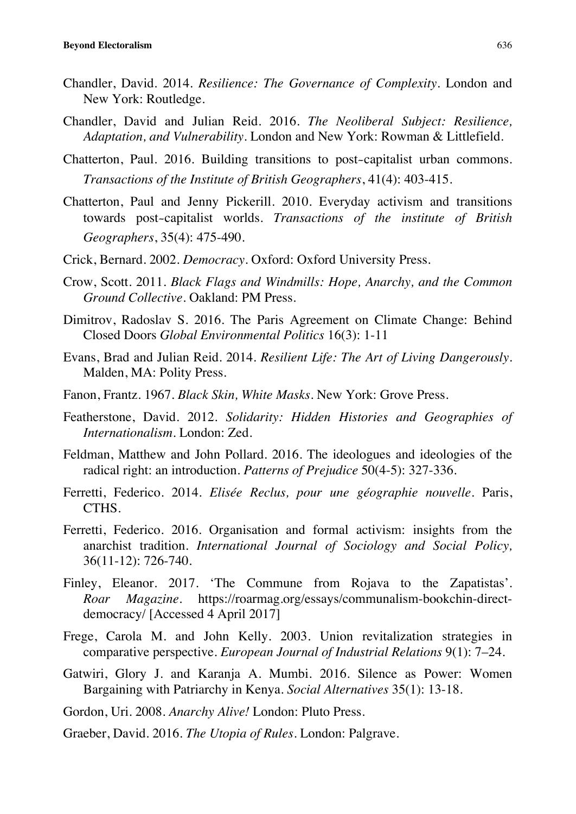- Chandler, David. 2014. *Resilience: The Governance of Complexity*. London and New York: Routledge.
- Chandler, David and Julian Reid. 2016. *The Neoliberal Subject: Resilience, Adaptation, and Vulnerability*. London and New York: Rowman & Littlefield.
- Chatterton, Paul. 2016. Building transitions to post‐capitalist urban commons. *Transactions of the Institute of British Geographers*, 41(4): 403-415.
- Chatterton, Paul and Jenny Pickerill. 2010. Everyday activism and transitions towards post‐capitalist worlds. *Transactions of the institute of British Geographers*, 35(4): 475-490.
- Crick, Bernard. 2002. *Democracy*. Oxford: Oxford University Press.
- Crow, Scott. 2011. *Black Flags and Windmills: Hope, Anarchy, and the Common Ground Collective*. Oakland: PM Press.
- Dimitrov, Radoslav S. 2016. The Paris Agreement on Climate Change: Behind Closed Doors *Global Environmental Politics* 16(3): 1-11
- Evans, Brad and Julian Reid. 2014. *Resilient Life: The Art of Living Dangerously*. Malden, MA: Polity Press.
- Fanon, Frantz. 1967. *Black Skin, White Masks*. New York: Grove Press.
- Featherstone, David. 2012. *Solidarity: Hidden Histories and Geographies of Internationalism.* London: Zed.
- Feldman, Matthew and John Pollard. 2016. The ideologues and ideologies of the radical right: an introduction. *Patterns of Prejudice* 50(4-5): 327-336.
- Ferretti, Federico. 2014. *Elisée Reclus, pour une géographie nouvelle*. Paris, CTHS.
- Ferretti, Federico. 2016. Organisation and formal activism: insights from the anarchist tradition. *International Journal of Sociology and Social Policy,* 36(11-12): 726-740.
- Finley, Eleanor. 2017. 'The Commune from Rojava to the Zapatistas'. *Roar Magazine*. https://roarmag.org/essays/communalism-bookchin-directdemocracy/ [Accessed 4 April 2017]
- Frege, Carola M. and John Kelly. 2003. Union revitalization strategies in comparative perspective. *European Journal of Industrial Relations* 9(1): 7–24.
- Gatwiri, Glory J. and Karanja A. Mumbi. 2016. Silence as Power: Women Bargaining with Patriarchy in Kenya. *Social Alternatives* 35(1): 13-18.
- Gordon, Uri. 2008. *Anarchy Alive!* London: Pluto Press.
- Graeber, David. 2016. *The Utopia of Rules*. London: Palgrave.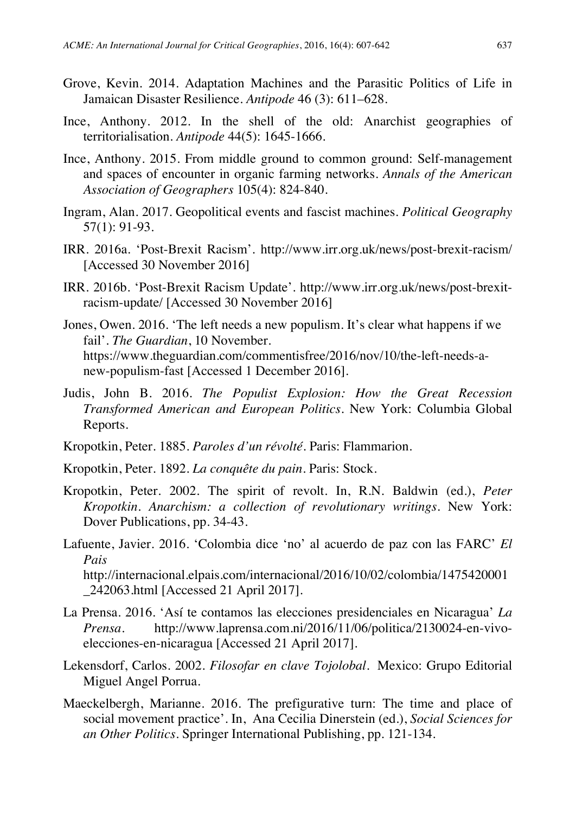- Grove, Kevin. 2014. Adaptation Machines and the Parasitic Politics of Life in Jamaican Disaster Resilience. *Antipode* 46 (3): 611–628.
- Ince, Anthony. 2012. In the shell of the old: Anarchist geographies of territorialisation. *Antipode* 44(5): 1645-1666.
- Ince, Anthony. 2015. From middle ground to common ground: Self-management and spaces of encounter in organic farming networks. *Annals of the American Association of Geographers* 105(4): 824-840.
- Ingram, Alan. 2017. Geopolitical events and fascist machines. *Political Geography* 57(1): 91-93.
- IRR. 2016a. 'Post-Brexit Racism'. http://www.irr.org.uk/news/post-brexit-racism/ [Accessed 30 November 2016]
- IRR. 2016b. 'Post-Brexit Racism Update'. http://www.irr.org.uk/news/post-brexitracism-update/ [Accessed 30 November 2016]
- Jones, Owen. 2016. 'The left needs a new populism. It's clear what happens if we fail'. *The Guardian*, 10 November. https://www.theguardian.com/commentisfree/2016/nov/10/the-left-needs-anew-populism-fast [Accessed 1 December 2016].
- Judis, John B. 2016. *The Populist Explosion: How the Great Recession Transformed American and European Politics.* New York: Columbia Global Reports.
- Kropotkin, Peter. 1885. *Paroles d'un révolté*. Paris: Flammarion.
- Kropotkin, Peter. 1892. *La conquête du pain*. Paris: Stock.
- Kropotkin, Peter. 2002. The spirit of revolt. In, R.N. Baldwin (ed.), *Peter Kropotkin. Anarchism: a collection of revolutionary writings*. New York: Dover Publications, pp. 34-43.
- Lafuente, Javier. 2016. 'Colombia dice 'no' al acuerdo de paz con las FARC' *El Pais* http://internacional.elpais.com/internacional/2016/10/02/colombia/1475420001 \_242063.html [Accessed 21 April 2017].
- La Prensa. 2016. 'Así te contamos las elecciones presidenciales en Nicaragua' *La Prensa*. http://www.laprensa.com.ni/2016/11/06/politica/2130024-en-vivoelecciones-en-nicaragua [Accessed 21 April 2017].
- Lekensdorf, Carlos. 2002. *Filosofar en clave Tojolobal*. Mexico: Grupo Editorial Miguel Angel Porrua.
- Maeckelbergh, Marianne. 2016. The prefigurative turn: The time and place of social movement practice'. In, Ana Cecilia Dinerstein (ed.), *Social Sciences for an Other Politics*. Springer International Publishing, pp. 121-134.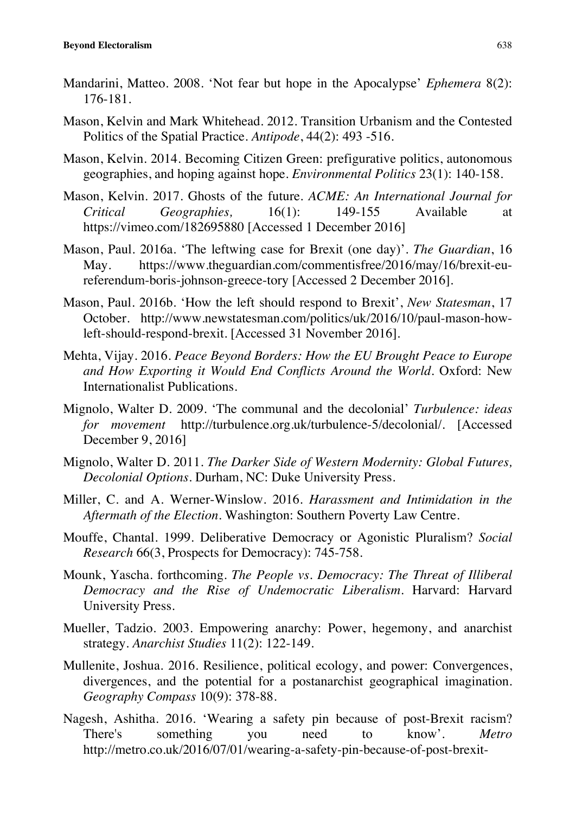- Mandarini, Matteo. 2008. 'Not fear but hope in the Apocalypse' *Ephemera* 8(2): 176-181.
- Mason, Kelvin and Mark Whitehead. 2012. Transition Urbanism and the Contested Politics of the Spatial Practice. *Antipode*, 44(2): 493 -516.
- Mason, Kelvin. 2014. Becoming Citizen Green: prefigurative politics, autonomous geographies, and hoping against hope. *Environmental Politics* 23(1): 140-158.
- Mason, Kelvin. 2017. Ghosts of the future. *ACME: An International Journal for Critical Geographies,* 16(1): 149-155 Available at https://vimeo.com/182695880 [Accessed 1 December 2016]
- Mason, Paul. 2016a. 'The leftwing case for Brexit (one day)'. *The Guardian*, 16 May. https://www.theguardian.com/commentisfree/2016/may/16/brexit-eureferendum-boris-johnson-greece-tory [Accessed 2 December 2016].
- Mason, Paul. 2016b. 'How the left should respond to Brexit', *New Statesman*, 17 October. http://www.newstatesman.com/politics/uk/2016/10/paul-mason-howleft-should-respond-brexit. [Accessed 31 November 2016].
- Mehta, Vijay. 2016. *Peace Beyond Borders: How the EU Brought Peace to Europe and How Exporting it Would End Conflicts Around the World*. Oxford: New Internationalist Publications.
- Mignolo, Walter D. 2009. 'The communal and the decolonial' *Turbulence: ideas for movement* http://turbulence.org.uk/turbulence-5/decolonial/. [Accessed December 9, 2016]
- Mignolo, Walter D. 2011. *The Darker Side of Western Modernity: Global Futures, Decolonial Options*. Durham, NC: Duke University Press.
- Miller, C. and A. Werner-Winslow. 2016. *Harassment and Intimidation in the Aftermath of the Election.* Washington: Southern Poverty Law Centre.
- Mouffe, Chantal. 1999. Deliberative Democracy or Agonistic Pluralism? *Social Research* 66(3, Prospects for Democracy): 745-758.
- Mounk, Yascha. forthcoming. *The People vs. Democracy: The Threat of Illiberal Democracy and the Rise of Undemocratic Liberalism*. Harvard: Harvard University Press.
- Mueller, Tadzio. 2003. Empowering anarchy: Power, hegemony, and anarchist strategy. *Anarchist Studies* 11(2): 122-149.
- Mullenite, Joshua. 2016. Resilience, political ecology, and power: Convergences, divergences, and the potential for a postanarchist geographical imagination. *Geography Compass* 10(9): 378-88.
- Nagesh, Ashitha. 2016. 'Wearing a safety pin because of post-Brexit racism? There's something you need to know'. *Metro* http://metro.co.uk/2016/07/01/wearing-a-safety-pin-because-of-post-brexit-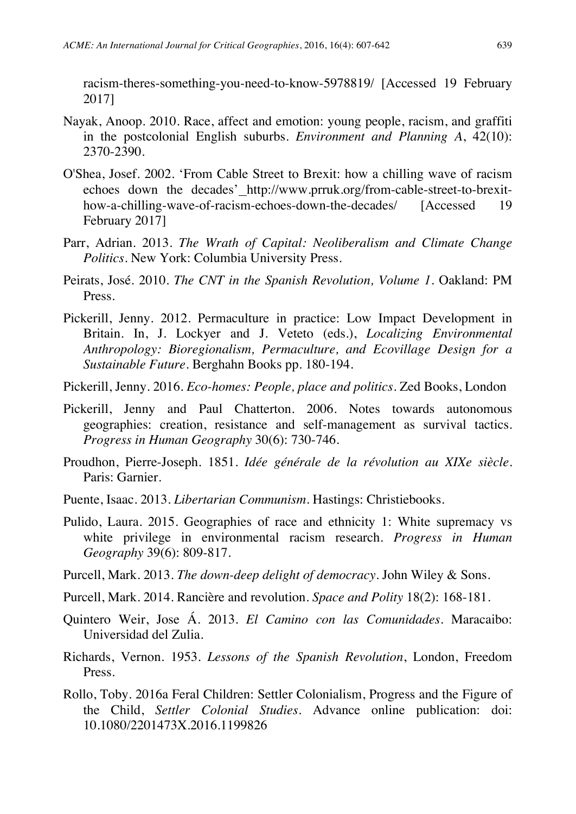racism-theres-something-you-need-to-know-5978819/ [Accessed 19 February 2017]

- Nayak, Anoop. 2010. Race, affect and emotion: young people, racism, and graffiti in the postcolonial English suburbs. *Environment and Planning A*, 42(10): 2370-2390.
- O'Shea, Josef. 2002. 'From Cable Street to Brexit: how a chilling wave of racism echoes down the decades'\_http://www.prruk.org/from-cable-street-to-brexithow-a-chilling-wave-of-racism-echoes-down-the-decades/ [Accessed 19 February 2017]
- Parr, Adrian. 2013. *The Wrath of Capital: Neoliberalism and Climate Change Politics*. New York: Columbia University Press.
- Peirats, José. 2010. *The CNT in the Spanish Revolution, Volume 1*. Oakland: PM Press.
- Pickerill, Jenny. 2012. Permaculture in practice: Low Impact Development in Britain. In, J. Lockyer and J. Veteto (eds.), *Localizing Environmental Anthropology: Bioregionalism, Permaculture, and Ecovillage Design for a Sustainable Future*. Berghahn Books pp. 180-194.
- Pickerill, Jenny. 2016. *Eco-homes: People, place and politics*. Zed Books, London
- Pickerill, Jenny and Paul Chatterton. 2006. Notes towards autonomous geographies: creation, resistance and self-management as survival tactics. *Progress in Human Geography* 30(6): 730-746.
- Proudhon, Pierre-Joseph. 1851. *Idée générale de la révolution au XIXe siècle*. Paris: Garnier.
- Puente, Isaac. 2013. *Libertarian Communism*. Hastings: Christiebooks.
- Pulido, Laura. 2015. Geographies of race and ethnicity 1: White supremacy vs white privilege in environmental racism research. *Progress in Human Geography* 39(6): 809-817.
- Purcell, Mark. 2013. *The down-deep delight of democracy*. John Wiley & Sons.
- Purcell, Mark. 2014. Rancière and revolution. *Space and Polity* 18(2): 168-181.
- Quintero Weir, Jose Á. 2013. *El Camino con las Comunidades*. Maracaibo: Universidad del Zulia.
- Richards, Vernon. 1953. *Lessons of the Spanish Revolution*, London, Freedom Press.
- Rollo, Toby. 2016a Feral Children: Settler Colonialism, Progress and the Figure of the Child, *Settler Colonial Studies*. Advance online publication: doi: 10.1080/2201473X.2016.1199826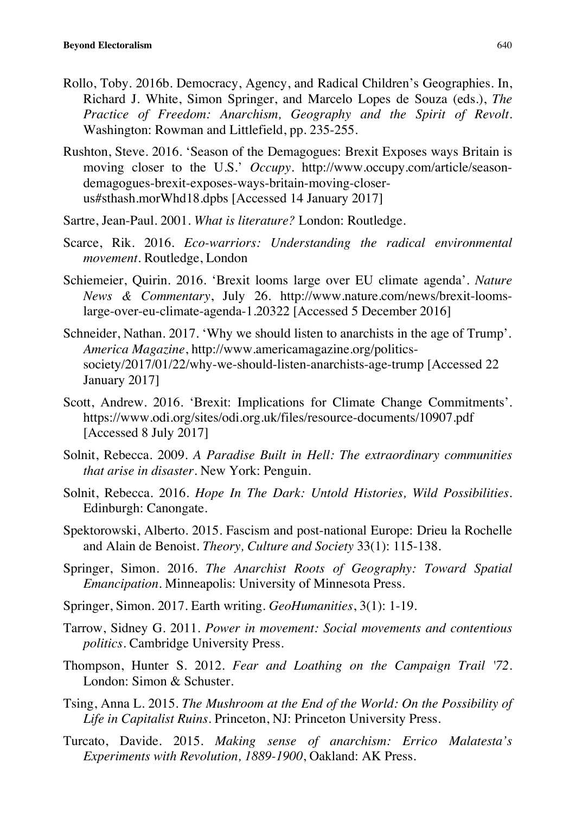- Rollo, Toby. 2016b. Democracy, Agency, and Radical Children's Geographies. In, Richard J. White, Simon Springer, and Marcelo Lopes de Souza (eds.), *The Practice of Freedom: Anarchism, Geography and the Spirit of Revolt*. Washington: Rowman and Littlefield, pp. 235-255.
- Rushton, Steve. 2016. 'Season of the Demagogues: Brexit Exposes ways Britain is moving closer to the U.S.' *Occupy*. http://www.occupy.com/article/seasondemagogues-brexit-exposes-ways-britain-moving-closerus#sthash.morWhd18.dpbs [Accessed 14 January 2017]
- Sartre, Jean-Paul. 2001. *What is literature?* London: Routledge.
- Scarce, Rik. 2016. *Eco-warriors: Understanding the radical environmental movement*. Routledge, London
- Schiemeier, Quirin. 2016. 'Brexit looms large over EU climate agenda'. *Nature News & Commentary*, July 26. http://www.nature.com/news/brexit-loomslarge-over-eu-climate-agenda-1.20322 [Accessed 5 December 2016]
- Schneider, Nathan. 2017. 'Why we should listen to anarchists in the age of Trump'. *America Magazine*, http://www.americamagazine.org/politicssociety/2017/01/22/why-we-should-listen-anarchists-age-trump [Accessed 22 January 2017]
- Scott, Andrew. 2016. 'Brexit: Implications for Climate Change Commitments'. https://www.odi.org/sites/odi.org.uk/files/resource-documents/10907.pdf [Accessed 8 July 2017]
- Solnit, Rebecca. 2009. *A Paradise Built in Hell: The extraordinary communities that arise in disaster*. New York: Penguin.
- Solnit, Rebecca. 2016. *Hope In The Dark: Untold Histories, Wild Possibilities.* Edinburgh: Canongate.
- Spektorowski, Alberto. 2015. Fascism and post-national Europe: Drieu la Rochelle and Alain de Benoist. *Theory, Culture and Society* 33(1): 115-138.
- Springer, Simon. 2016. *The Anarchist Roots of Geography: Toward Spatial Emancipation*. Minneapolis: University of Minnesota Press.
- Springer, Simon. 2017. Earth writing. *GeoHumanities*, 3(1): 1-19.
- Tarrow, Sidney G. 2011. *Power in movement: Social movements and contentious politics.* Cambridge University Press.
- Thompson, Hunter S. 2012. *Fear and Loathing on the Campaign Trail '72*. London: Simon & Schuster.
- Tsing, Anna L. 2015. *The Mushroom at the End of the World: On the Possibility of Life in Capitalist Ruins*. Princeton, NJ: Princeton University Press.
- Turcato, Davide. 2015. *Making sense of anarchism: Errico Malatesta's Experiments with Revolution, 1889-1900*, Oakland: AK Press.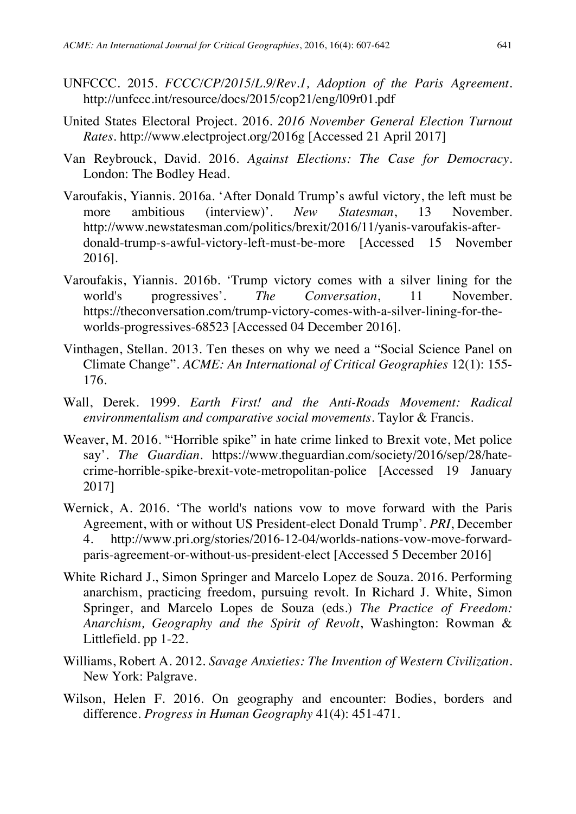- UNFCCC. 2015. *FCCC/CP/2015/L.9/Rev.1, Adoption of the Paris Agreement*. http://unfccc.int/resource/docs/2015/cop21/eng/l09r01.pdf
- United States Electoral Project. 2016. *2016 November General Election Turnout Rates*. http://www.electproject.org/2016g [Accessed 21 April 2017]
- Van Reybrouck, David. 2016. *Against Elections: The Case for Democracy*. London: The Bodley Head.
- Varoufakis, Yiannis. 2016a. 'After Donald Trump's awful victory, the left must be more ambitious (interview)'. *New Statesman*, 13 November. http://www.newstatesman.com/politics/brexit/2016/11/yanis-varoufakis-afterdonald-trump-s-awful-victory-left-must-be-more [Accessed 15 November 2016].
- Varoufakis, Yiannis. 2016b. 'Trump victory comes with a silver lining for the world's progressives'. *The Conversation*, 11 November. https://theconversation.com/trump-victory-comes-with-a-silver-lining-for-theworlds-progressives-68523 [Accessed 04 December 2016].
- Vinthagen, Stellan. 2013. Ten theses on why we need a "Social Science Panel on Climate Change". *ACME: An International of Critical Geographies* 12(1): 155- 176.
- Wall, Derek. 1999. *Earth First! and the Anti-Roads Movement: Radical environmentalism and comparative social movements*. Taylor & Francis.
- Weaver, M. 2016. '"Horrible spike" in hate crime linked to Brexit vote, Met police say'. *The Guardian*. https://www.theguardian.com/society/2016/sep/28/hatecrime-horrible-spike-brexit-vote-metropolitan-police [Accessed 19 January 2017]
- Wernick, A. 2016. 'The world's nations vow to move forward with the Paris Agreement, with or without US President-elect Donald Trump'. *PRI*, December 4. http://www.pri.org/stories/2016-12-04/worlds-nations-vow-move-forwardparis-agreement-or-without-us-president-elect [Accessed 5 December 2016]
- White Richard J., Simon Springer and Marcelo Lopez de Souza. 2016. Performing anarchism, practicing freedom, pursuing revolt. In Richard J. White, Simon Springer, and Marcelo Lopes de Souza (eds.) *The Practice of Freedom: Anarchism, Geography and the Spirit of Revolt*, Washington: Rowman & Littlefield. pp 1-22.
- Williams, Robert A. 2012. *Savage Anxieties: The Invention of Western Civilization*. New York: Palgrave.
- Wilson, Helen F. 2016. On geography and encounter: Bodies, borders and difference. *Progress in Human Geography* 41(4): 451-471.